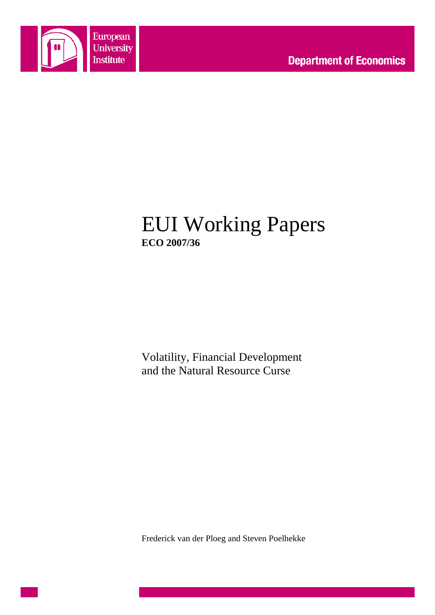

# EUI Working Papers **ECO 2007/36**

Volatility, Financial Development and the Natural Resource Curse

Frederick van der Ploeg and Steven Poelhekke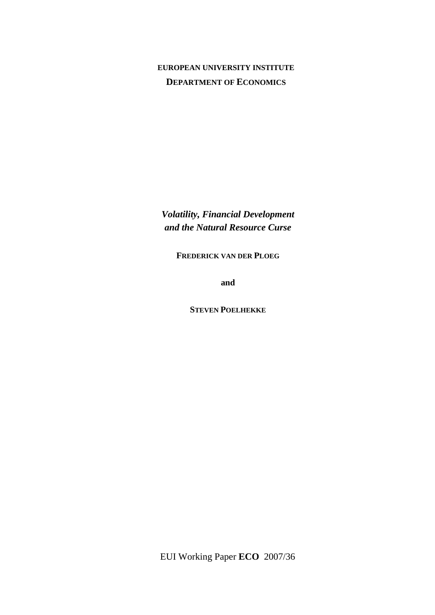# **EUROPEAN UNIVERSITY INSTITUTE DEPARTMENT OF ECONOMICS**

*Volatility, Financial Development and the Natural Resource Curse* 

**FREDERICK VAN DER PLOEG** 

**and**

**STEVEN POELHEKKE**

EUI Working Paper **ECO** 2007/36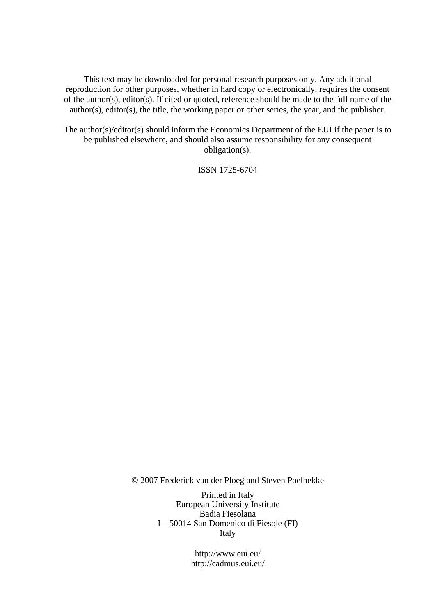This text may be downloaded for personal research purposes only. Any additional reproduction for other purposes, whether in hard copy or electronically, requires the consent of the author(s), editor(s). If cited or quoted, reference should be made to the full name of the author(s), editor(s), the title, the working paper or other series, the year, and the publisher.

The author(s)/editor(s) should inform the Economics Department of the EUI if the paper is to be published elsewhere, and should also assume responsibility for any consequent obligation(s).

ISSN 1725-6704

© 2007 Frederick van der Ploeg and Steven Poelhekke

Printed in Italy European University Institute Badia Fiesolana I – 50014 San Domenico di Fiesole (FI) Italy

> http://www.eui.eu/ http://cadmus.eui.eu/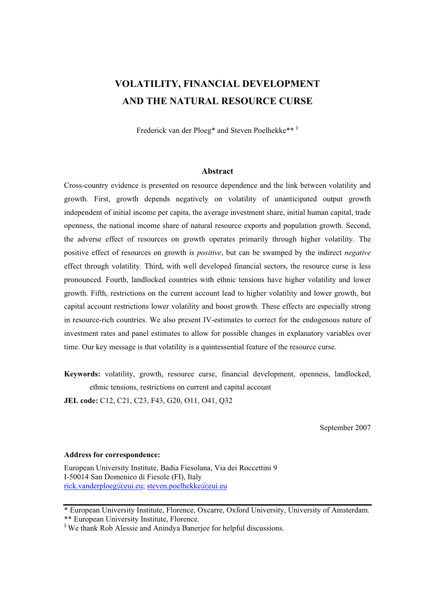# **VOLATILITY, FINANCIAL DEVELOPMENT AND THE NATURAL RESOURCE CURSE**

Frederick van der Ploeg\* and Steven Poelhekke\*\* §

#### **Abstract**

Cross-country evidence is presented on resource dependence and the link between volatility and growth. First, growth depends negatively on volatility of unanticipated output growth independent of initial income per capita, the average investment share, initial human capital, trade openness, the national income share of natural resource exports and population growth. Second, the adverse effect of resources on growth operates primarily through higher volatility. The positive effect of resources on growth is *positive*, but can be swamped by the indirect *negative* effect through volatility. Third, with well developed financial sectors, the resource curse is less pronounced. Fourth, landlocked countries with ethnic tensions have higher volatility and lower growth. Fifth, restrictions on the current account lead to higher volatility and lower growth, but capital account restrictions lower volatility and boost growth. These effects are especially strong in resource-rich countries. We also present IV-estimates to correct for the endogenous nature of investment rates and panel estimates to allow for possible changes in explanatory variables over time. Our key message is that volatility is a quintessential feature of the resource curse.

**Keywords:** volatility, growth, resource curse, financial development, openness, landlocked, ethnic tensions, restrictions on current and capital account

**JEL code:** C12, C21, C23, F43, G20, O11, O41, Q32

September 2007

#### **Address for correspondence:**

European University Institute, Badia Fiesolana, Via dei Roccettini 9 I-50014 San Domenico di Fiesole (FI), Italy rick.vanderploeg@eui.eu; steven.poelhekke@eui.eu

<sup>\*</sup> European University Institute, Florence, Oxcarre, Oxford University, University of Amsterdam.

<sup>\*\*</sup> European University Institute, Florence.

<sup>§</sup> We thank Rob Alessie and Anindya Banerjee for helpful discussions.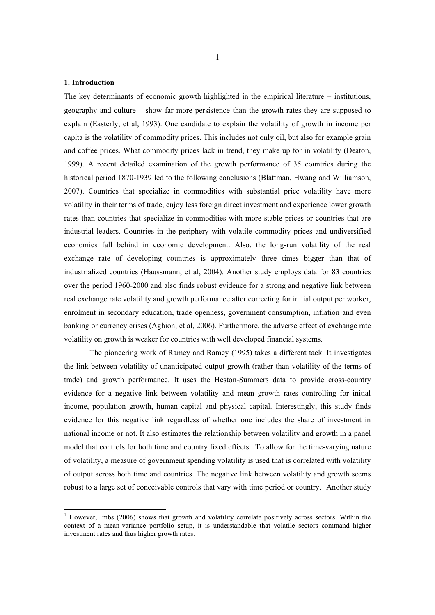#### **1. Introduction**

The key determinants of economic growth highlighted in the empirical literature  $-$  institutions, geography and culture – show far more persistence than the growth rates they are supposed to explain (Easterly, et al, 1993). One candidate to explain the volatility of growth in income per capita is the volatility of commodity prices. This includes not only oil, but also for example grain and coffee prices. What commodity prices lack in trend, they make up for in volatility (Deaton, 1999). A recent detailed examination of the growth performance of 35 countries during the historical period 1870-1939 led to the following conclusions (Blattman, Hwang and Williamson, 2007). Countries that specialize in commodities with substantial price volatility have more volatility in their terms of trade, enjoy less foreign direct investment and experience lower growth rates than countries that specialize in commodities with more stable prices or countries that are industrial leaders. Countries in the periphery with volatile commodity prices and undiversified economies fall behind in economic development. Also, the long-run volatility of the real exchange rate of developing countries is approximately three times bigger than that of industrialized countries (Haussmann, et al, 2004). Another study employs data for 83 countries over the period 1960-2000 and also finds robust evidence for a strong and negative link between real exchange rate volatility and growth performance after correcting for initial output per worker, enrolment in secondary education, trade openness, government consumption, inflation and even banking or currency crises (Aghion, et al, 2006). Furthermore, the adverse effect of exchange rate volatility on growth is weaker for countries with well developed financial systems.

The pioneering work of Ramey and Ramey (1995) takes a different tack. It investigates the link between volatility of unanticipated output growth (rather than volatility of the terms of trade) and growth performance. It uses the Heston-Summers data to provide cross-country evidence for a negative link between volatility and mean growth rates controlling for initial income, population growth, human capital and physical capital. Interestingly, this study finds evidence for this negative link regardless of whether one includes the share of investment in national income or not. It also estimates the relationship between volatility and growth in a panel model that controls for both time and country fixed effects. To allow for the time-varying nature of volatility, a measure of government spending volatility is used that is correlated with volatility of output across both time and countries. The negative link between volatility and growth seems robust to a large set of conceivable controls that vary with time period or country.<sup>1</sup> Another study

<sup>&</sup>lt;sup>1</sup> However, Imbs (2006) shows that growth and volatility correlate positively across sectors. Within the context of a mean-variance portfolio setup, it is understandable that volatile sectors command higher investment rates and thus higher growth rates.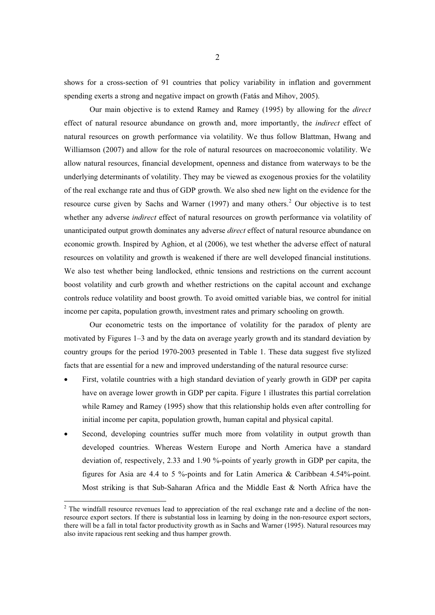shows for a cross-section of 91 countries that policy variability in inflation and government spending exerts a strong and negative impact on growth (Fatás and Mihov, 2005).

 Our main objective is to extend Ramey and Ramey (1995) by allowing for the *direct* effect of natural resource abundance on growth and, more importantly, the *indirect* effect of natural resources on growth performance via volatility. We thus follow Blattman, Hwang and Williamson (2007) and allow for the role of natural resources on macroeconomic volatility. We allow natural resources, financial development, openness and distance from waterways to be the underlying determinants of volatility. They may be viewed as exogenous proxies for the volatility of the real exchange rate and thus of GDP growth. We also shed new light on the evidence for the resource curse given by Sachs and Warner (1997) and many others.<sup>2</sup> Our objective is to test whether any adverse *indirect* effect of natural resources on growth performance via volatility of unanticipated output growth dominates any adverse *direct* effect of natural resource abundance on economic growth. Inspired by Aghion, et al (2006), we test whether the adverse effect of natural resources on volatility and growth is weakened if there are well developed financial institutions. We also test whether being landlocked, ethnic tensions and restrictions on the current account boost volatility and curb growth and whether restrictions on the capital account and exchange controls reduce volatility and boost growth. To avoid omitted variable bias, we control for initial income per capita, population growth, investment rates and primary schooling on growth.

Our econometric tests on the importance of volatility for the paradox of plenty are motivated by Figures 1–3 and by the data on average yearly growth and its standard deviation by country groups for the period 1970-2003 presented in Table 1. These data suggest five stylized facts that are essential for a new and improved understanding of the natural resource curse:

- First, volatile countries with a high standard deviation of yearly growth in GDP per capita have on average lower growth in GDP per capita. Figure 1 illustrates this partial correlation while Ramey and Ramey (1995) show that this relationship holds even after controlling for initial income per capita, population growth, human capital and physical capital.
- Second, developing countries suffer much more from volatility in output growth than developed countries. Whereas Western Europe and North America have a standard deviation of, respectively, 2.33 and 1.90 %-points of yearly growth in GDP per capita, the figures for Asia are 4.4 to 5 %-points and for Latin America & Caribbean 4.54%-point. Most striking is that Sub-Saharan Africa and the Middle East & North Africa have the

 $2$  The windfall resource revenues lead to appreciation of the real exchange rate and a decline of the nonresource export sectors. If there is substantial loss in learning by doing in the non-resource export sectors, there will be a fall in total factor productivity growth as in Sachs and Warner (1995). Natural resources may also invite rapacious rent seeking and thus hamper growth.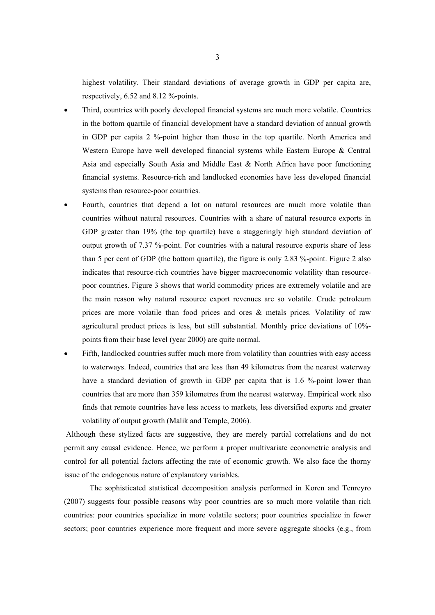highest volatility. Their standard deviations of average growth in GDP per capita are, respectively, 6.52 and 8.12 %-points.

- x Third, countries with poorly developed financial systems are much more volatile. Countries in the bottom quartile of financial development have a standard deviation of annual growth in GDP per capita 2 %-point higher than those in the top quartile. North America and Western Europe have well developed financial systems while Eastern Europe & Central Asia and especially South Asia and Middle East & North Africa have poor functioning financial systems. Resource-rich and landlocked economies have less developed financial systems than resource-poor countries.
- Fourth, countries that depend a lot on natural resources are much more volatile than countries without natural resources. Countries with a share of natural resource exports in GDP greater than 19% (the top quartile) have a staggeringly high standard deviation of output growth of 7.37 %-point. For countries with a natural resource exports share of less than 5 per cent of GDP (the bottom quartile), the figure is only 2.83 %-point. Figure 2 also indicates that resource-rich countries have bigger macroeconomic volatility than resourcepoor countries. Figure 3 shows that world commodity prices are extremely volatile and are the main reason why natural resource export revenues are so volatile. Crude petroleum prices are more volatile than food prices and ores & metals prices. Volatility of raw agricultural product prices is less, but still substantial. Monthly price deviations of 10% points from their base level (year 2000) are quite normal.
- Fifth, landlocked countries suffer much more from volatility than countries with easy access to waterways. Indeed, countries that are less than 49 kilometres from the nearest waterway have a standard deviation of growth in GDP per capita that is 1.6 %-point lower than countries that are more than 359 kilometres from the nearest waterway. Empirical work also finds that remote countries have less access to markets, less diversified exports and greater volatility of output growth (Malik and Temple, 2006).

 Although these stylized facts are suggestive, they are merely partial correlations and do not permit any causal evidence. Hence, we perform a proper multivariate econometric analysis and control for all potential factors affecting the rate of economic growth. We also face the thorny issue of the endogenous nature of explanatory variables.

 The sophisticated statistical decomposition analysis performed in Koren and Tenreyro (2007) suggests four possible reasons why poor countries are so much more volatile than rich countries: poor countries specialize in more volatile sectors; poor countries specialize in fewer sectors; poor countries experience more frequent and more severe aggregate shocks (e.g., from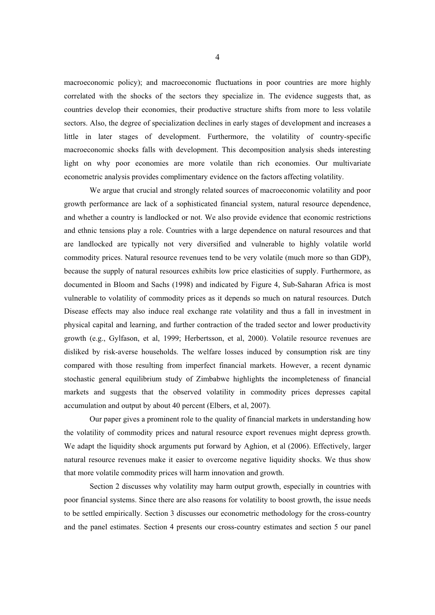macroeconomic policy); and macroeconomic fluctuations in poor countries are more highly correlated with the shocks of the sectors they specialize in. The evidence suggests that, as countries develop their economies, their productive structure shifts from more to less volatile sectors. Also, the degree of specialization declines in early stages of development and increases a little in later stages of development. Furthermore, the volatility of country-specific macroeconomic shocks falls with development. This decomposition analysis sheds interesting light on why poor economies are more volatile than rich economies. Our multivariate econometric analysis provides complimentary evidence on the factors affecting volatility.

 We argue that crucial and strongly related sources of macroeconomic volatility and poor growth performance are lack of a sophisticated financial system, natural resource dependence, and whether a country is landlocked or not. We also provide evidence that economic restrictions and ethnic tensions play a role. Countries with a large dependence on natural resources and that are landlocked are typically not very diversified and vulnerable to highly volatile world commodity prices. Natural resource revenues tend to be very volatile (much more so than GDP), because the supply of natural resources exhibits low price elasticities of supply. Furthermore, as documented in Bloom and Sachs (1998) and indicated by Figure 4, Sub-Saharan Africa is most vulnerable to volatility of commodity prices as it depends so much on natural resources. Dutch Disease effects may also induce real exchange rate volatility and thus a fall in investment in physical capital and learning, and further contraction of the traded sector and lower productivity growth (e.g., Gylfason, et al, 1999; Herbertsson, et al, 2000). Volatile resource revenues are disliked by risk-averse households. The welfare losses induced by consumption risk are tiny compared with those resulting from imperfect financial markets. However, a recent dynamic stochastic general equilibrium study of Zimbabwe highlights the incompleteness of financial markets and suggests that the observed volatility in commodity prices depresses capital accumulation and output by about 40 percent (Elbers, et al, 2007).

Our paper gives a prominent role to the quality of financial markets in understanding how the volatility of commodity prices and natural resource export revenues might depress growth. We adapt the liquidity shock arguments put forward by Aghion, et al (2006). Effectively, larger natural resource revenues make it easier to overcome negative liquidity shocks. We thus show that more volatile commodity prices will harm innovation and growth.

Section 2 discusses why volatility may harm output growth, especially in countries with poor financial systems. Since there are also reasons for volatility to boost growth, the issue needs to be settled empirically. Section 3 discusses our econometric methodology for the cross-country and the panel estimates. Section 4 presents our cross-country estimates and section 5 our panel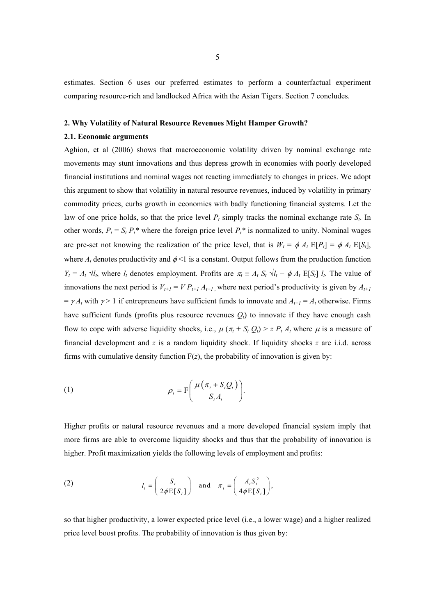estimates. Section 6 uses our preferred estimates to perform a counterfactual experiment comparing resource-rich and landlocked Africa with the Asian Tigers. Section 7 concludes.

#### **2. Why Volatility of Natural Resource Revenues Might Hamper Growth?**

#### **2.1. Economic arguments**

Aghion, et al (2006) shows that macroeconomic volatility driven by nominal exchange rate movements may stunt innovations and thus depress growth in economies with poorly developed financial institutions and nominal wages not reacting immediately to changes in prices. We adopt this argument to show that volatility in natural resource revenues, induced by volatility in primary commodity prices, curbs growth in economies with badly functioning financial systems. Let the law of one price holds, so that the price level  $P_t$  simply tracks the nominal exchange rate  $S_t$ . In other words,  $P_t = S_t P_t^*$  where the foreign price level  $P_t^*$  is normalized to unity. Nominal wages are pre-set not knowing the realization of the price level, that is  $W_t = \phi A_t E[P_t] = \phi A_t E[S_t]$ , where  $A_t$  denotes productivity and  $\phi$ <1 is a constant. Output follows from the production function  $Y_t = A_t \sqrt{l_t}$ , where  $l_t$  denotes employment. Profits are  $\pi_t = A_t S_t \sqrt{l_t - \phi A_t E[S_t]} l_t$ . The value of innovations the next period is  $V_{t+1} = VP_{t+1} A_{t+1}$ , where next period's productivity is given by  $A_{t+1}$  $= \gamma A_t$  with  $\gamma > 1$  if entrepreneurs have sufficient funds to innovate and  $A_{t+1} = A_t$  otherwise. Firms have sufficient funds (profits plus resource revenues  $Q<sub>i</sub>$ ) to innovate if they have enough cash flow to cope with adverse liquidity shocks, i.e.,  $\mu$  ( $\pi_t$  +  $S_t$  Q<sub>t</sub>) > *z*  $P_t$  A<sub>t</sub> where  $\mu$  is a measure of financial development and *z* is a random liquidity shock. If liquidity shocks *z* are i.i.d. across firms with cumulative density function  $F(z)$ , the probability of innovation is given by:

(1) 
$$
\rho_t = F\left(\frac{\mu(\pi_t + S_t Q_t)}{S_t A_t}\right).
$$

Higher profits or natural resource revenues and a more developed financial system imply that more firms are able to overcome liquidity shocks and thus that the probability of innovation is higher. Profit maximization yields the following levels of employment and profits:

(2) 
$$
l_{i} = \left(\frac{S_{i}}{2\phi E[S_{i}]} \right) \text{ and } \pi_{i} = \left(\frac{A_{i}S_{i}^{2}}{4\phi E[S_{i}]} \right),
$$

so that higher productivity, a lower expected price level (i.e., a lower wage) and a higher realized price level boost profits. The probability of innovation is thus given by: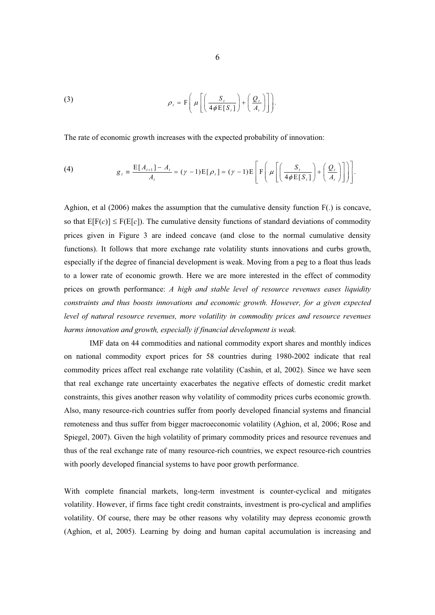(3) 
$$
\rho_{t} = F\left(\mu\left[\left(\frac{S_{t}}{4\phi E[S_{t}]} + \left(\frac{Q_{t}}{A_{t}}\right)\right]\right)\right].
$$

The rate of economic growth increases with the expected probability of innovation:

(4) 
$$
g_{t} = \frac{E[A_{t+1}] - A_{t}}{A_{t}} = (\gamma - 1)E[\rho_{t}] = (\gamma - 1)E\left[F\left(\mu\left[\left(\frac{S_{t}}{4\phi E[S_{t}]} + \left(\frac{Q_{t}}{A_{t}}\right)\right]\right)\right]\right].
$$

Aghion, et al (2006) makes the assumption that the cumulative density function F(.) is concave, so that  $E[F(c)] \leq F(E[c])$ . The cumulative density functions of standard deviations of commodity prices given in Figure 3 are indeed concave (and close to the normal cumulative density functions). It follows that more exchange rate volatility stunts innovations and curbs growth, especially if the degree of financial development is weak. Moving from a peg to a float thus leads to a lower rate of economic growth. Here we are more interested in the effect of commodity prices on growth performance: *A high and stable level of resource revenues eases liquidity constraints and thus boosts innovations and economic growth. However, for a given expected level of natural resource revenues, more volatility in commodity prices and resource revenues harms innovation and growth, especially if financial development is weak.* 

IMF data on 44 commodities and national commodity export shares and monthly indices on national commodity export prices for 58 countries during 1980-2002 indicate that real commodity prices affect real exchange rate volatility (Cashin, et al, 2002). Since we have seen that real exchange rate uncertainty exacerbates the negative effects of domestic credit market constraints, this gives another reason why volatility of commodity prices curbs economic growth. Also, many resource-rich countries suffer from poorly developed financial systems and financial remoteness and thus suffer from bigger macroeconomic volatility (Aghion, et al, 2006; Rose and Spiegel, 2007). Given the high volatility of primary commodity prices and resource revenues and thus of the real exchange rate of many resource-rich countries, we expect resource-rich countries with poorly developed financial systems to have poor growth performance.

With complete financial markets, long-term investment is counter-cyclical and mitigates volatility. However, if firms face tight credit constraints, investment is pro-cyclical and amplifies volatility. Of course, there may be other reasons why volatility may depress economic growth (Aghion, et al, 2005). Learning by doing and human capital accumulation is increasing and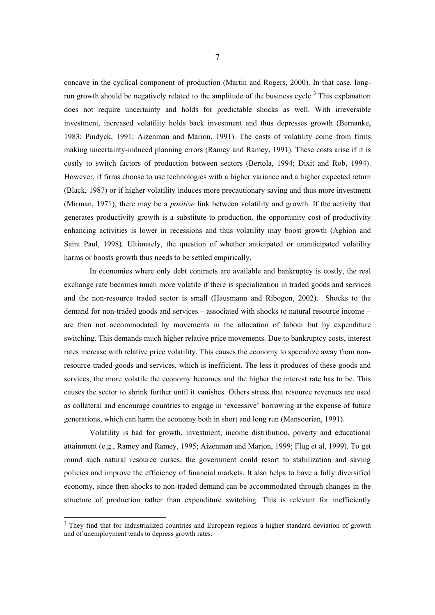concave in the cyclical component of production (Martin and Rogers, 2000). In that case, longrun growth should be negatively related to the amplitude of the business cycle.<sup>3</sup> This explanation does not require uncertainty and holds for predictable shocks as well. With irreversible investment, increased volatility holds back investment and thus depresses growth (Bernanke, 1983; Pindyck, 1991; Aizenman and Marion, 1991). The costs of volatility come from firms making uncertainty-induced planning errors (Ramey and Ramey, 1991). These costs arise if it is costly to switch factors of production between sectors (Bertola, 1994; Dixit and Rob, 1994). However, if firms choose to use technologies with a higher variance and a higher expected return (Black, 1987) or if higher volatility induces more precautionary saving and thus more investment (Mirman, 1971), there may be a *positive* link between volatility and growth. If the activity that generates productivity growth is a substitute to production, the opportunity cost of productivity enhancing activities is lower in recessions and thus volatility may boost growth (Aghion and Saint Paul, 1998). Ultimately, the question of whether anticipated or unanticipated volatility harms or boosts growth thus needs to be settled empirically.

In economies where only debt contracts are available and bankruptcy is costly, the real exchange rate becomes much more volatile if there is specialization in traded goods and services and the non-resource traded sector is small (Hausmann and Ribogon, 2002). Shocks to the demand for non-traded goods and services – associated with shocks to natural resource income – are then not accommodated by movements in the allocation of labour but by expenditure switching. This demands much higher relative price movements. Due to bankruptcy costs, interest rates increase with relative price volatility. This causes the economy to specialize away from nonresource traded goods and services, which is inefficient. The less it produces of these goods and services, the more volatile the economy becomes and the higher the interest rate has to be. This causes the sector to shrink further until it vanishes. Others stress that resource revenues are used as collateral and encourage countries to engage in 'excessive' borrowing at the expense of future generations, which can harm the economy both in short and long run (Mansoorian, 1991).

Volatility is bad for growth, investment, income distribution, poverty and educational attainment (e.g., Ramey and Ramey, 1995; Aizenman and Marion, 1999; Flug et al, 1999). To get round such natural resource curses, the government could resort to stabilization and saving policies and improve the efficiency of financial markets. It also helps to have a fully diversified economy, since then shocks to non-traded demand can be accommodated through changes in the structure of production rather than expenditure switching. This is relevant for inefficiently

<sup>&</sup>lt;sup>3</sup> They find that for industrialized countries and European regions a higher standard deviation of growth and of unemployment tends to depress growth rates.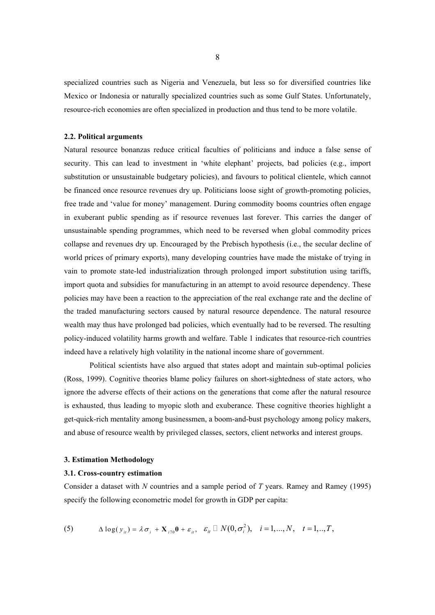specialized countries such as Nigeria and Venezuela, but less so for diversified countries like Mexico or Indonesia or naturally specialized countries such as some Gulf States. Unfortunately, resource-rich economies are often specialized in production and thus tend to be more volatile.

#### **2.2. Political arguments**

Natural resource bonanzas reduce critical faculties of politicians and induce a false sense of security. This can lead to investment in 'white elephant' projects, bad policies (e.g., import substitution or unsustainable budgetary policies), and favours to political clientele, which cannot be financed once resource revenues dry up. Politicians loose sight of growth-promoting policies, free trade and 'value for money' management. During commodity booms countries often engage in exuberant public spending as if resource revenues last forever. This carries the danger of unsustainable spending programmes, which need to be reversed when global commodity prices collapse and revenues dry up. Encouraged by the Prebisch hypothesis (i.e., the secular decline of world prices of primary exports), many developing countries have made the mistake of trying in vain to promote state-led industrialization through prolonged import substitution using tariffs, import quota and subsidies for manufacturing in an attempt to avoid resource dependency. These policies may have been a reaction to the appreciation of the real exchange rate and the decline of the traded manufacturing sectors caused by natural resource dependence. The natural resource wealth may thus have prolonged bad policies, which eventually had to be reversed. The resulting policy-induced volatility harms growth and welfare. Table 1 indicates that resource-rich countries indeed have a relatively high volatility in the national income share of government.

Political scientists have also argued that states adopt and maintain sub-optimal policies (Ross, 1999). Cognitive theories blame policy failures on short-sightedness of state actors, who ignore the adverse effects of their actions on the generations that come after the natural resource is exhausted, thus leading to myopic sloth and exuberance. These cognitive theories highlight a get-quick-rich mentality among businessmen, a boom-and-bust psychology among policy makers, and abuse of resource wealth by privileged classes, sectors, client networks and interest groups.

#### **3. Estimation Methodology**

#### **3.1. Cross-country estimation**

Consider a dataset with *N* countries and a sample period of *T* years. Ramey and Ramey (1995) specify the following econometric model for growth in GDP per capita:

(5) 
$$
\Delta \log(y_{ii}) = \lambda \sigma_i + \mathbf{X}_{i\tau} \mathbf{\theta} + \varepsilon_{ii}, \quad \varepsilon_{ii} \Box N(0, \sigma_i^2), \quad i = 1, ..., N, \quad t = 1, ..., T,
$$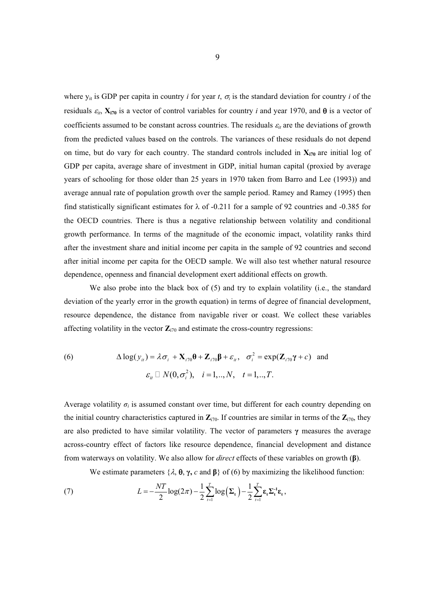where  $y_{it}$  is GDP per capita in country *i* for year *t*,  $\sigma_i$  is the standard deviation for country *i* of the residuals  $\varepsilon_{it}$ ,  $\mathbf{X}_{i70}$  is a vector of control variables for country *i* and year 1970, and  $\theta$  is a vector of coefficients assumed to be constant across countries. The residuals  $\varepsilon$ <sub>*i*</sub> are the deviations of growth from the predicted values based on the controls. The variances of these residuals do not depend on time, but do vary for each country. The standard controls included in  $X_{i70}$  are initial log of GDP per capita, average share of investment in GDP, initial human capital (proxied by average years of schooling for those older than 25 years in 1970 taken from Barro and Lee (1993)) and average annual rate of population growth over the sample period. Ramey and Ramey (1995) then find statistically significant estimates for  $\lambda$  of -0.211 for a sample of 92 countries and -0.385 for the OECD countries. There is thus a negative relationship between volatility and conditional growth performance. In terms of the magnitude of the economic impact, volatility ranks third after the investment share and initial income per capita in the sample of 92 countries and second after initial income per capita for the OECD sample. We will also test whether natural resource dependence, openness and financial development exert additional effects on growth.

We also probe into the black box of (5) and try to explain volatility (i.e., the standard deviation of the yearly error in the growth equation) in terms of degree of financial development, resource dependence, the distance from navigable river or coast. We collect these variables affecting volatility in the vector  $\mathbb{Z}_{170}$  and estimate the cross-country regressions:

(6) 
$$
\Delta \log(y_{ii}) = \lambda \sigma_i + \mathbf{X}_{i70} \mathbf{\theta} + \mathbf{Z}_{i70} \mathbf{\beta} + \varepsilon_{ii}, \quad \sigma_i^2 = \exp(\mathbf{Z}_{i70} \gamma + c) \text{ and}
$$

$$
\varepsilon_{ii} \Box N(0, \sigma_i^2), \quad i = 1, ..., N, \quad t = 1, ..., T.
$$

Average volatility  $\sigma_i$  is assumed constant over time, but different for each country depending on the initial country characteristics captured in  $\mathbb{Z}_{170}$ . If countries are similar in terms of the  $\mathbb{Z}_{170}$ , they are also predicted to have similar volatility. The vector of parameters  $\gamma$  measures the average across-country effect of factors like resource dependence, financial development and distance from waterways on volatility. We also allow for *direct* effects of these variables on growth (**ȕ**).

We estimate parameters  $\{\lambda, \theta, \gamma, c \text{ and } \beta\}$  of (6) by maximizing the likelihood function:

(7) 
$$
L = -\frac{NT}{2}\log(2\pi) - \frac{1}{2}\sum_{t=1}^{T}\log(\Sigma_t) - \frac{1}{2}\sum_{t=1}^{T}\varepsilon_t\Sigma_t^{-1}\varepsilon_t,
$$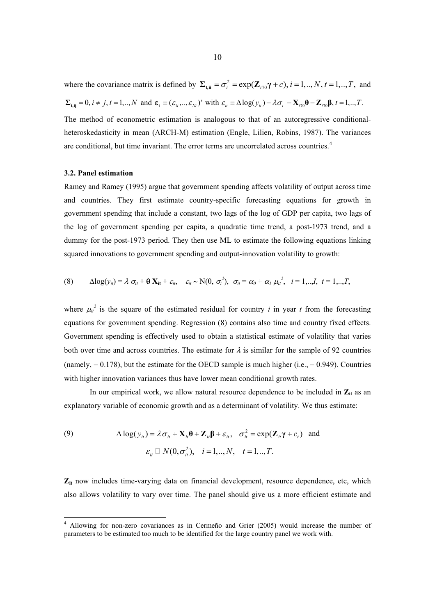where the covariance matrix is defined by  $\Sigma_{\text{t,ii}} = \sigma_i^2 = \exp(\mathbf{Z}_{i70}\gamma + c)$ ,  $i = 1,.., N$ ,  $t = 1,.., T$ , and  $\Sigma_{\mathbf{t},\mathbf{ij}} = 0, i \neq j, t = 1,.., N$  and  $\mathbf{\varepsilon}_{\mathbf{t}} \equiv (\varepsilon_{1t},...,\varepsilon_{Nt})'$  with  $\varepsilon_{it} \equiv \Delta \log(y_{it}) - \lambda \sigma_i - \mathbf{X}_{i70} \mathbf{\theta} - \mathbf{Z}_{i70} \mathbf{\beta}, t = 1,.., T$ . The method of econometric estimation is analogous to that of an autoregressive conditionalheteroskedasticity in mean (ARCH-M) estimation (Engle, Lilien, Robins, 1987). The variances are conditional, but time invariant. The error terms are uncorrelated across countries.<sup>4</sup>

#### **3.2. Panel estimation**

Ramey and Ramey (1995) argue that government spending affects volatility of output across time and countries. They first estimate country-specific forecasting equations for growth in government spending that include a constant, two lags of the log of GDP per capita, two lags of the log of government spending per capita, a quadratic time trend, a post-1973 trend, and a dummy for the post-1973 period. They then use ML to estimate the following equations linking squared innovations to government spending and output-innovation volatility to growth:

(8) 
$$
\Delta \log(y_{it}) = \lambda \sigma_{it} + \theta \mathbf{X}_{it} + \varepsilon_{it}, \quad \varepsilon_{it} \sim N(0, \sigma_i^2), \quad \sigma_{it} = \alpha_0 + \alpha_1 \mu_{it}^2, \quad i = 1,..,I, \quad t = 1,..,T,
$$

where  $\mu_{it}^2$  is the square of the estimated residual for country *i* in year *t* from the forecasting equations for government spending. Regression (8) contains also time and country fixed effects. Government spending is effectively used to obtain a statistical estimate of volatility that varies both over time and across countries. The estimate for  $\lambda$  is similar for the sample of 92 countries (namely,  $-0.178$ ), but the estimate for the OECD sample is much higher (i.e.,  $-0.949$ ). Countries with higher innovation variances thus have lower mean conditional growth rates.

In our empirical work, we allow natural resource dependence to be included in  $Z_{it}$  as an explanatory variable of economic growth and as a determinant of volatility. We thus estimate:

(9) 
$$
\Delta \log(y_{ii}) = \lambda \sigma_{ii} + \mathbf{X}_{ii} \mathbf{\theta} + \mathbf{Z}_{ii} \mathbf{\beta} + \varepsilon_{ii}, \quad \sigma_{ii}^2 = \exp(\mathbf{Z}_{ii} \mathbf{\gamma} + c_i) \text{ and}
$$

$$
\varepsilon_{ii} \Box N(0, \sigma_{ii}^2), \quad i = 1, ..., N, \quad t = 1, ..., T.
$$

 $Z_{it}$  now includes time-varying data on financial development, resource dependence, etc, which also allows volatility to vary over time. The panel should give us a more efficient estimate and

<sup>&</sup>lt;sup>4</sup> Allowing for non-zero covariances as in Cermeño and Grier (2005) would increase the number of parameters to be estimated too much to be identified for the large country panel we work with.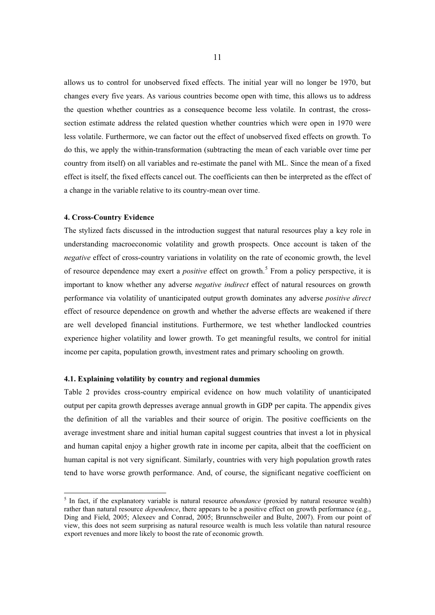allows us to control for unobserved fixed effects. The initial year will no longer be 1970, but changes every five years. As various countries become open with time, this allows us to address the question whether countries as a consequence become less volatile. In contrast, the crosssection estimate address the related question whether countries which were open in 1970 were less volatile. Furthermore, we can factor out the effect of unobserved fixed effects on growth. To do this, we apply the within-transformation (subtracting the mean of each variable over time per country from itself) on all variables and re-estimate the panel with ML. Since the mean of a fixed effect is itself, the fixed effects cancel out. The coefficients can then be interpreted as the effect of a change in the variable relative to its country-mean over time.

#### **4. Cross-Country Evidence**

The stylized facts discussed in the introduction suggest that natural resources play a key role in understanding macroeconomic volatility and growth prospects. Once account is taken of the *negative* effect of cross-country variations in volatility on the rate of economic growth, the level of resource dependence may exert a *positive* effect on growth.<sup>5</sup> From a policy perspective, it is important to know whether any adverse *negative indirect* effect of natural resources on growth performance via volatility of unanticipated output growth dominates any adverse *positive direct* effect of resource dependence on growth and whether the adverse effects are weakened if there are well developed financial institutions. Furthermore, we test whether landlocked countries experience higher volatility and lower growth. To get meaningful results, we control for initial income per capita, population growth, investment rates and primary schooling on growth.

#### **4.1. Explaining volatility by country and regional dummies**

Table 2 provides cross-country empirical evidence on how much volatility of unanticipated output per capita growth depresses average annual growth in GDP per capita. The appendix gives the definition of all the variables and their source of origin. The positive coefficients on the average investment share and initial human capital suggest countries that invest a lot in physical and human capital enjoy a higher growth rate in income per capita, albeit that the coefficient on human capital is not very significant. Similarly, countries with very high population growth rates tend to have worse growth performance. And, of course, the significant negative coefficient on

<sup>&</sup>lt;sup>5</sup> In fact, if the explanatory variable is natural resource *abundance* (proxied by natural resource wealth) rather than natural resource *dependence*, there appears to be a positive effect on growth performance (e.g., Ding and Field, 2005; Alexeev and Conrad, 2005; Brunnschweiler and Bulte, 2007). From our point of view, this does not seem surprising as natural resource wealth is much less volatile than natural resource export revenues and more likely to boost the rate of economic growth.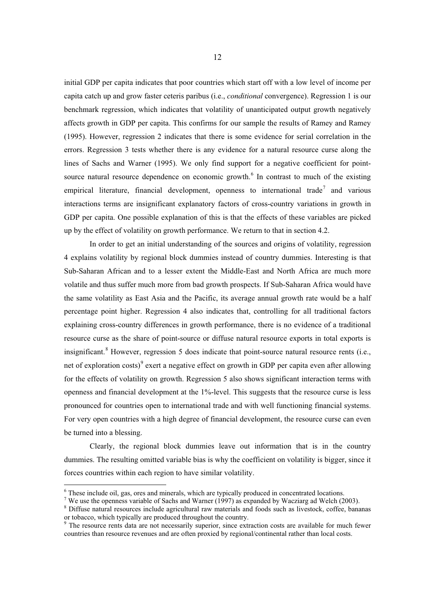initial GDP per capita indicates that poor countries which start off with a low level of income per capita catch up and grow faster ceteris paribus (i.e., *conditional* convergence). Regression 1 is our benchmark regression, which indicates that volatility of unanticipated output growth negatively affects growth in GDP per capita. This confirms for our sample the results of Ramey and Ramey (1995). However, regression 2 indicates that there is some evidence for serial correlation in the errors. Regression 3 tests whether there is any evidence for a natural resource curse along the lines of Sachs and Warner (1995). We only find support for a negative coefficient for pointsource natural resource dependence on economic growth.<sup>6</sup> In contrast to much of the existing empirical literature, financial development, openness to international trade<sup>7</sup> and various interactions terms are insignificant explanatory factors of cross-country variations in growth in GDP per capita. One possible explanation of this is that the effects of these variables are picked up by the effect of volatility on growth performance. We return to that in section 4.2.

In order to get an initial understanding of the sources and origins of volatility, regression 4 explains volatility by regional block dummies instead of country dummies. Interesting is that Sub-Saharan African and to a lesser extent the Middle-East and North Africa are much more volatile and thus suffer much more from bad growth prospects. If Sub-Saharan Africa would have the same volatility as East Asia and the Pacific, its average annual growth rate would be a half percentage point higher. Regression 4 also indicates that, controlling for all traditional factors explaining cross-country differences in growth performance, there is no evidence of a traditional resource curse as the share of point-source or diffuse natural resource exports in total exports is insignificant.<sup>8</sup> However, regression 5 does indicate that point-source natural resource rents (i.e., net of exploration costs)<sup>9</sup> exert a negative effect on growth in GDP per capita even after allowing for the effects of volatility on growth. Regression 5 also shows significant interaction terms with openness and financial development at the 1%-level. This suggests that the resource curse is less pronounced for countries open to international trade and with well functioning financial systems. For very open countries with a high degree of financial development, the resource curse can even be turned into a blessing.

Clearly, the regional block dummies leave out information that is in the country dummies. The resulting omitted variable bias is why the coefficient on volatility is bigger, since it forces countries within each region to have similar volatility.

 $^6$  These include oil, gas, ores and minerals, which are typically produced in concentrated locations.<br><sup>7</sup> We use the energies veriable of Seeks and Werner (1997) as expanded by Weggiars ad Weleb (20

<sup>&</sup>lt;sup>7</sup> We use the openness variable of Sachs and Warner (1997) as expanded by Wacziarg ad Welch (2003).

<sup>&</sup>lt;sup>8</sup> Diffuse natural resources include agricultural raw materials and foods such as livestock, coffee, bananas or tobacco, which typically are produced throughout the country.

<sup>&</sup>lt;sup>9</sup> The resource rents data are not necessarily superior, since extraction costs are available for much fewer countries than resource revenues and are often proxied by regional/continental rather than local costs.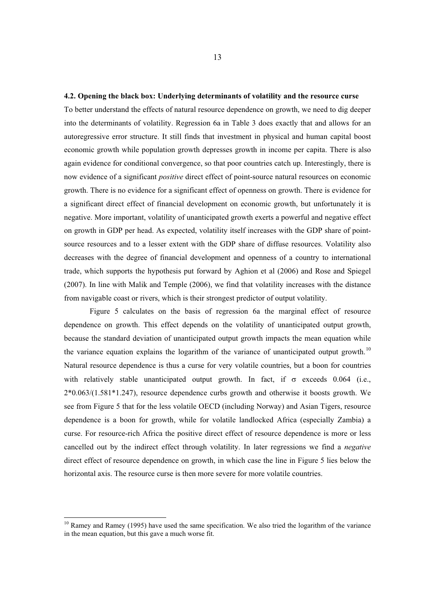#### **4.2. Opening the black box: Underlying determinants of volatility and the resource curse**

To better understand the effects of natural resource dependence on growth, we need to dig deeper into the determinants of volatility. Regression 6a in Table 3 does exactly that and allows for an autoregressive error structure. It still finds that investment in physical and human capital boost economic growth while population growth depresses growth in income per capita. There is also again evidence for conditional convergence, so that poor countries catch up. Interestingly, there is now evidence of a significant *positive* direct effect of point-source natural resources on economic growth. There is no evidence for a significant effect of openness on growth. There is evidence for a significant direct effect of financial development on economic growth, but unfortunately it is negative. More important, volatility of unanticipated growth exerts a powerful and negative effect on growth in GDP per head. As expected, volatility itself increases with the GDP share of pointsource resources and to a lesser extent with the GDP share of diffuse resources. Volatility also decreases with the degree of financial development and openness of a country to international trade, which supports the hypothesis put forward by Aghion et al (2006) and Rose and Spiegel (2007). In line with Malik and Temple (2006), we find that volatility increases with the distance from navigable coast or rivers, which is their strongest predictor of output volatility.

 Figure 5 calculates on the basis of regression 6a the marginal effect of resource dependence on growth. This effect depends on the volatility of unanticipated output growth, because the standard deviation of unanticipated output growth impacts the mean equation while the variance equation explains the logarithm of the variance of unanticipated output growth.<sup>10</sup> Natural resource dependence is thus a curse for very volatile countries, but a boon for countries with relatively stable unanticipated output growth. In fact, if  $\sigma$  exceeds 0.064 (i.e., 2\*0.063/(1.581\*1.247), resource dependence curbs growth and otherwise it boosts growth. We see from Figure 5 that for the less volatile OECD (including Norway) and Asian Tigers, resource dependence is a boon for growth, while for volatile landlocked Africa (especially Zambia) a curse. For resource-rich Africa the positive direct effect of resource dependence is more or less cancelled out by the indirect effect through volatility. In later regressions we find a *negative* direct effect of resource dependence on growth, in which case the line in Figure 5 lies below the horizontal axis. The resource curse is then more severe for more volatile countries.

<sup>&</sup>lt;sup>10</sup> Ramey and Ramey (1995) have used the same specification. We also tried the logarithm of the variance in the mean equation, but this gave a much worse fit.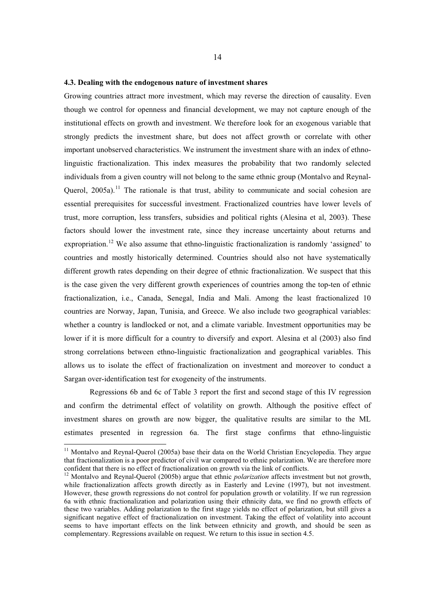#### **4.3. Dealing with the endogenous nature of investment shares**

Growing countries attract more investment, which may reverse the direction of causality. Even though we control for openness and financial development, we may not capture enough of the institutional effects on growth and investment. We therefore look for an exogenous variable that strongly predicts the investment share, but does not affect growth or correlate with other important unobserved characteristics. We instrument the investment share with an index of ethnolinguistic fractionalization. This index measures the probability that two randomly selected individuals from a given country will not belong to the same ethnic group (Montalvo and Reynal-Querol,  $2005a$ .<sup>11</sup> The rationale is that trust, ability to communicate and social cohesion are essential prerequisites for successful investment. Fractionalized countries have lower levels of trust, more corruption, less transfers, subsidies and political rights (Alesina et al, 2003). These factors should lower the investment rate, since they increase uncertainty about returns and expropriation.<sup>12</sup> We also assume that ethno-linguistic fractionalization is randomly 'assigned' to countries and mostly historically determined. Countries should also not have systematically different growth rates depending on their degree of ethnic fractionalization. We suspect that this is the case given the very different growth experiences of countries among the top-ten of ethnic fractionalization, i.e., Canada, Senegal, India and Mali. Among the least fractionalized 10 countries are Norway, Japan, Tunisia, and Greece. We also include two geographical variables: whether a country is landlocked or not, and a climate variable. Investment opportunities may be lower if it is more difficult for a country to diversify and export. Alesina et al (2003) also find strong correlations between ethno-linguistic fractionalization and geographical variables. This allows us to isolate the effect of fractionalization on investment and moreover to conduct a Sargan over-identification test for exogeneity of the instruments.

Regressions 6b and 6c of Table 3 report the first and second stage of this IV regression and confirm the detrimental effect of volatility on growth. Although the positive effect of investment shares on growth are now bigger, the qualitative results are similar to the ML estimates presented in regression 6a. The first stage confirms that ethno-linguistic

<sup>&</sup>lt;sup>11</sup> Montalvo and Reynal-Querol (2005a) base their data on the World Christian Encyclopedia. They argue that fractionalization is a poor predictor of civil war compared to ethnic polarization. We are therefore more confident that there is no effect of fractionalization on growth via the link of conflicts.

<sup>&</sup>lt;sup>12</sup> Montalvo and Reynal-Querol (2005b) argue that ethnic *polarization* affects investment but not growth, while fractionalization affects growth directly as in Easterly and Levine (1997), but not investment. However, these growth regressions do not control for population growth or volatility. If we run regression 6a with ethnic fractionalization and polarization using their ethnicity data, we find no growth effects of these two variables. Adding polarization to the first stage yields no effect of polarization, but still gives a significant negative effect of fractionalization on investment. Taking the effect of volatility into account seems to have important effects on the link between ethnicity and growth, and should be seen as complementary. Regressions available on request. We return to this issue in section 4.5.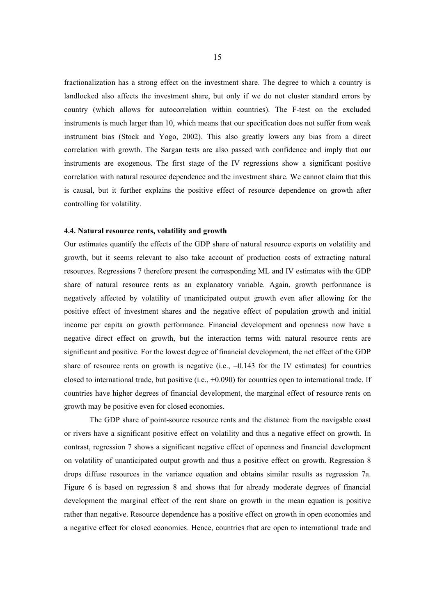fractionalization has a strong effect on the investment share. The degree to which a country is landlocked also affects the investment share, but only if we do not cluster standard errors by country (which allows for autocorrelation within countries). The F-test on the excluded instruments is much larger than 10, which means that our specification does not suffer from weak instrument bias (Stock and Yogo, 2002). This also greatly lowers any bias from a direct correlation with growth. The Sargan tests are also passed with confidence and imply that our instruments are exogenous. The first stage of the IV regressions show a significant positive correlation with natural resource dependence and the investment share. We cannot claim that this is causal, but it further explains the positive effect of resource dependence on growth after controlling for volatility.

#### **4.4. Natural resource rents, volatility and growth**

Our estimates quantify the effects of the GDP share of natural resource exports on volatility and growth, but it seems relevant to also take account of production costs of extracting natural resources. Regressions 7 therefore present the corresponding ML and IV estimates with the GDP share of natural resource rents as an explanatory variable. Again, growth performance is negatively affected by volatility of unanticipated output growth even after allowing for the positive effect of investment shares and the negative effect of population growth and initial income per capita on growth performance. Financial development and openness now have a negative direct effect on growth, but the interaction terms with natural resource rents are significant and positive. For the lowest degree of financial development, the net effect of the GDP share of resource rents on growth is negative (i.e.,  $-0.143$  for the IV estimates) for countries closed to international trade, but positive (i.e., +0.090) for countries open to international trade. If countries have higher degrees of financial development, the marginal effect of resource rents on growth may be positive even for closed economies.

The GDP share of point-source resource rents and the distance from the navigable coast or rivers have a significant positive effect on volatility and thus a negative effect on growth. In contrast, regression 7 shows a significant negative effect of openness and financial development on volatility of unanticipated output growth and thus a positive effect on growth. Regression 8 drops diffuse resources in the variance equation and obtains similar results as regression 7a. Figure 6 is based on regression 8 and shows that for already moderate degrees of financial development the marginal effect of the rent share on growth in the mean equation is positive rather than negative. Resource dependence has a positive effect on growth in open economies and a negative effect for closed economies. Hence, countries that are open to international trade and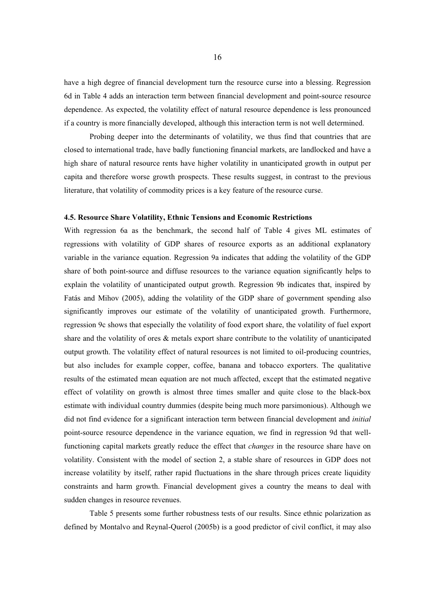have a high degree of financial development turn the resource curse into a blessing. Regression 6d in Table 4 adds an interaction term between financial development and point-source resource dependence. As expected, the volatility effect of natural resource dependence is less pronounced if a country is more financially developed, although this interaction term is not well determined.

Probing deeper into the determinants of volatility, we thus find that countries that are closed to international trade, have badly functioning financial markets, are landlocked and have a high share of natural resource rents have higher volatility in unanticipated growth in output per capita and therefore worse growth prospects. These results suggest, in contrast to the previous literature, that volatility of commodity prices is a key feature of the resource curse.

#### **4.5. Resource Share Volatility, Ethnic Tensions and Economic Restrictions**

With regression 6a as the benchmark, the second half of Table 4 gives ML estimates of regressions with volatility of GDP shares of resource exports as an additional explanatory variable in the variance equation. Regression 9a indicates that adding the volatility of the GDP share of both point-source and diffuse resources to the variance equation significantly helps to explain the volatility of unanticipated output growth. Regression 9b indicates that, inspired by Fatás and Mihov (2005), adding the volatility of the GDP share of government spending also significantly improves our estimate of the volatility of unanticipated growth. Furthermore, regression 9c shows that especially the volatility of food export share, the volatility of fuel export share and the volatility of ores & metals export share contribute to the volatility of unanticipated output growth. The volatility effect of natural resources is not limited to oil-producing countries, but also includes for example copper, coffee, banana and tobacco exporters. The qualitative results of the estimated mean equation are not much affected, except that the estimated negative effect of volatility on growth is almost three times smaller and quite close to the black-box estimate with individual country dummies (despite being much more parsimonious). Although we did not find evidence for a significant interaction term between financial development and *initial* point-source resource dependence in the variance equation, we find in regression 9d that wellfunctioning capital markets greatly reduce the effect that *changes* in the resource share have on volatility. Consistent with the model of section 2, a stable share of resources in GDP does not increase volatility by itself, rather rapid fluctuations in the share through prices create liquidity constraints and harm growth. Financial development gives a country the means to deal with sudden changes in resource revenues.

Table 5 presents some further robustness tests of our results. Since ethnic polarization as defined by Montalvo and Reynal-Querol (2005b) is a good predictor of civil conflict, it may also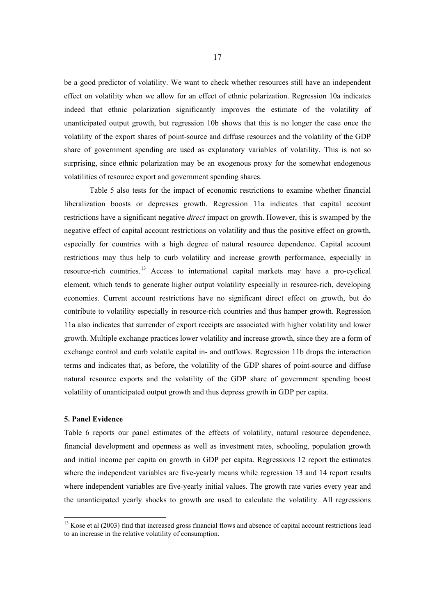be a good predictor of volatility. We want to check whether resources still have an independent effect on volatility when we allow for an effect of ethnic polarization. Regression 10a indicates indeed that ethnic polarization significantly improves the estimate of the volatility of unanticipated output growth, but regression 10b shows that this is no longer the case once the volatility of the export shares of point-source and diffuse resources and the volatility of the GDP share of government spending are used as explanatory variables of volatility. This is not so surprising, since ethnic polarization may be an exogenous proxy for the somewhat endogenous volatilities of resource export and government spending shares.

Table 5 also tests for the impact of economic restrictions to examine whether financial liberalization boosts or depresses growth. Regression 11a indicates that capital account restrictions have a significant negative *direct* impact on growth. However, this is swamped by the negative effect of capital account restrictions on volatility and thus the positive effect on growth, especially for countries with a high degree of natural resource dependence. Capital account restrictions may thus help to curb volatility and increase growth performance, especially in resource-rich countries.<sup>13</sup> Access to international capital markets may have a pro-cyclical element, which tends to generate higher output volatility especially in resource-rich, developing economies. Current account restrictions have no significant direct effect on growth, but do contribute to volatility especially in resource-rich countries and thus hamper growth. Regression 11a also indicates that surrender of export receipts are associated with higher volatility and lower growth. Multiple exchange practices lower volatility and increase growth, since they are a form of exchange control and curb volatile capital in- and outflows. Regression 11b drops the interaction terms and indicates that, as before, the volatility of the GDP shares of point-source and diffuse natural resource exports and the volatility of the GDP share of government spending boost volatility of unanticipated output growth and thus depress growth in GDP per capita.

#### **5. Panel Evidence**

Table 6 reports our panel estimates of the effects of volatility, natural resource dependence, financial development and openness as well as investment rates, schooling, population growth and initial income per capita on growth in GDP per capita. Regressions 12 report the estimates where the independent variables are five-yearly means while regression 13 and 14 report results where independent variables are five-yearly initial values. The growth rate varies every year and the unanticipated yearly shocks to growth are used to calculate the volatility. All regressions

<sup>&</sup>lt;sup>13</sup> Kose et al (2003) find that increased gross financial flows and absence of capital account restrictions lead to an increase in the relative volatility of consumption.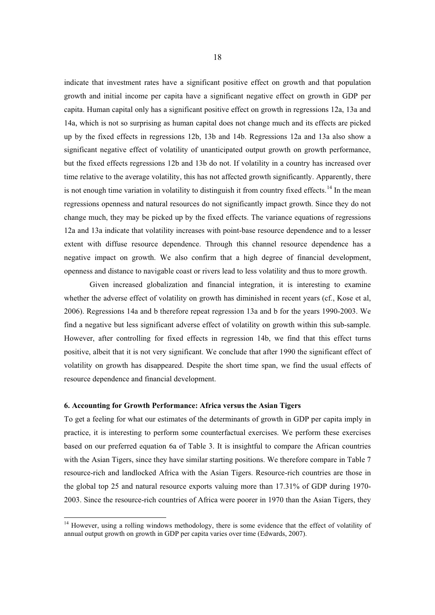indicate that investment rates have a significant positive effect on growth and that population growth and initial income per capita have a significant negative effect on growth in GDP per capita. Human capital only has a significant positive effect on growth in regressions 12a, 13a and 14a, which is not so surprising as human capital does not change much and its effects are picked up by the fixed effects in regressions 12b, 13b and 14b. Regressions 12a and 13a also show a significant negative effect of volatility of unanticipated output growth on growth performance, but the fixed effects regressions 12b and 13b do not. If volatility in a country has increased over time relative to the average volatility, this has not affected growth significantly. Apparently, there is not enough time variation in volatility to distinguish it from country fixed effects.<sup>14</sup> In the mean regressions openness and natural resources do not significantly impact growth. Since they do not change much, they may be picked up by the fixed effects. The variance equations of regressions 12a and 13a indicate that volatility increases with point-base resource dependence and to a lesser extent with diffuse resource dependence. Through this channel resource dependence has a negative impact on growth. We also confirm that a high degree of financial development, openness and distance to navigable coast or rivers lead to less volatility and thus to more growth.

Given increased globalization and financial integration, it is interesting to examine whether the adverse effect of volatility on growth has diminished in recent years (cf., Kose et al, 2006). Regressions 14a and b therefore repeat regression 13a and b for the years 1990-2003. We find a negative but less significant adverse effect of volatility on growth within this sub-sample. However, after controlling for fixed effects in regression 14b, we find that this effect turns positive, albeit that it is not very significant. We conclude that after 1990 the significant effect of volatility on growth has disappeared. Despite the short time span, we find the usual effects of resource dependence and financial development.

#### **6. Accounting for Growth Performance: Africa versus the Asian Tigers**

To get a feeling for what our estimates of the determinants of growth in GDP per capita imply in practice, it is interesting to perform some counterfactual exercises. We perform these exercises based on our preferred equation 6a of Table 3. It is insightful to compare the African countries with the Asian Tigers, since they have similar starting positions. We therefore compare in Table 7 resource-rich and landlocked Africa with the Asian Tigers. Resource-rich countries are those in the global top 25 and natural resource exports valuing more than 17.31% of GDP during 1970- 2003. Since the resource-rich countries of Africa were poorer in 1970 than the Asian Tigers, they

<sup>&</sup>lt;sup>14</sup> However, using a rolling windows methodology, there is some evidence that the effect of volatility of annual output growth on growth in GDP per capita varies over time (Edwards, 2007).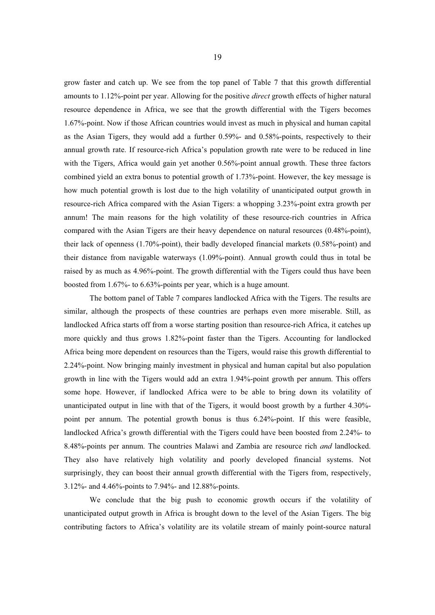grow faster and catch up. We see from the top panel of Table 7 that this growth differential amounts to 1.12%-point per year. Allowing for the positive *direct* growth effects of higher natural resource dependence in Africa, we see that the growth differential with the Tigers becomes 1.67%-point. Now if those African countries would invest as much in physical and human capital as the Asian Tigers, they would add a further 0.59%- and 0.58%-points, respectively to their annual growth rate. If resource-rich Africa's population growth rate were to be reduced in line with the Tigers, Africa would gain yet another 0.56%-point annual growth. These three factors combined yield an extra bonus to potential growth of 1.73%-point. However, the key message is how much potential growth is lost due to the high volatility of unanticipated output growth in resource-rich Africa compared with the Asian Tigers: a whopping 3.23%-point extra growth per annum! The main reasons for the high volatility of these resource-rich countries in Africa compared with the Asian Tigers are their heavy dependence on natural resources (0.48%-point), their lack of openness (1.70%-point), their badly developed financial markets (0.58%-point) and

their distance from navigable waterways (1.09%-point). Annual growth could thus in total be raised by as much as 4.96%-point. The growth differential with the Tigers could thus have been boosted from 1.67%- to 6.63%-points per year, which is a huge amount. The bottom panel of Table 7 compares landlocked Africa with the Tigers. The results are

similar, although the prospects of these countries are perhaps even more miserable. Still, as landlocked Africa starts off from a worse starting position than resource-rich Africa, it catches up more quickly and thus grows 1.82%-point faster than the Tigers. Accounting for landlocked Africa being more dependent on resources than the Tigers, would raise this growth differential to 2.24%-point. Now bringing mainly investment in physical and human capital but also population growth in line with the Tigers would add an extra 1.94%-point growth per annum. This offers some hope. However, if landlocked Africa were to be able to bring down its volatility of unanticipated output in line with that of the Tigers, it would boost growth by a further 4.30% point per annum. The potential growth bonus is thus 6.24%-point. If this were feasible, landlocked Africa's growth differential with the Tigers could have been boosted from 2.24%- to 8.48%-points per annum. The countries Malawi and Zambia are resource rich *and* landlocked. They also have relatively high volatility and poorly developed financial systems. Not surprisingly, they can boost their annual growth differential with the Tigers from, respectively, 3.12%- and 4.46%-points to 7.94%- and 12.88%-points.

We conclude that the big push to economic growth occurs if the volatility of unanticipated output growth in Africa is brought down to the level of the Asian Tigers. The big contributing factors to Africa's volatility are its volatile stream of mainly point-source natural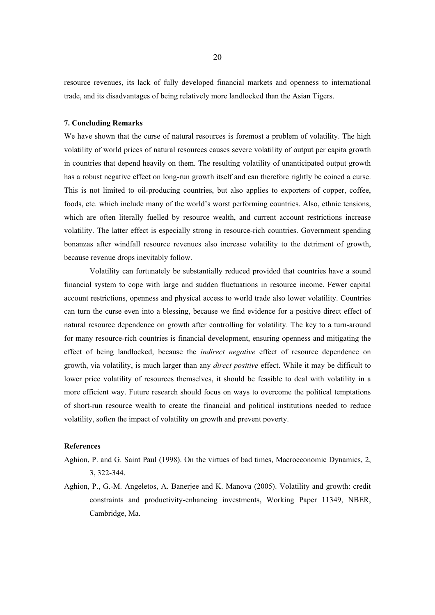resource revenues, its lack of fully developed financial markets and openness to international trade, and its disadvantages of being relatively more landlocked than the Asian Tigers.

#### **7. Concluding Remarks**

We have shown that the curse of natural resources is foremost a problem of volatility. The high volatility of world prices of natural resources causes severe volatility of output per capita growth in countries that depend heavily on them. The resulting volatility of unanticipated output growth has a robust negative effect on long-run growth itself and can therefore rightly be coined a curse. This is not limited to oil-producing countries, but also applies to exporters of copper, coffee, foods, etc. which include many of the world's worst performing countries. Also, ethnic tensions, which are often literally fuelled by resource wealth, and current account restrictions increase volatility. The latter effect is especially strong in resource-rich countries. Government spending bonanzas after windfall resource revenues also increase volatility to the detriment of growth, because revenue drops inevitably follow.

Volatility can fortunately be substantially reduced provided that countries have a sound financial system to cope with large and sudden fluctuations in resource income. Fewer capital account restrictions, openness and physical access to world trade also lower volatility. Countries can turn the curse even into a blessing, because we find evidence for a positive direct effect of natural resource dependence on growth after controlling for volatility. The key to a turn-around for many resource-rich countries is financial development, ensuring openness and mitigating the effect of being landlocked, because the *indirect negative* effect of resource dependence on growth, via volatility, is much larger than any *direct positive* effect. While it may be difficult to lower price volatility of resources themselves, it should be feasible to deal with volatility in a more efficient way. Future research should focus on ways to overcome the political temptations of short-run resource wealth to create the financial and political institutions needed to reduce volatility, soften the impact of volatility on growth and prevent poverty.

#### **References**

- Aghion, P. and G. Saint Paul (1998). On the virtues of bad times, Macroeconomic Dynamics, 2, 3, 322-344.
- Aghion, P., G.-M. Angeletos, A. Banerjee and K. Manova (2005). Volatility and growth: credit constraints and productivity-enhancing investments, Working Paper 11349, NBER, Cambridge, Ma.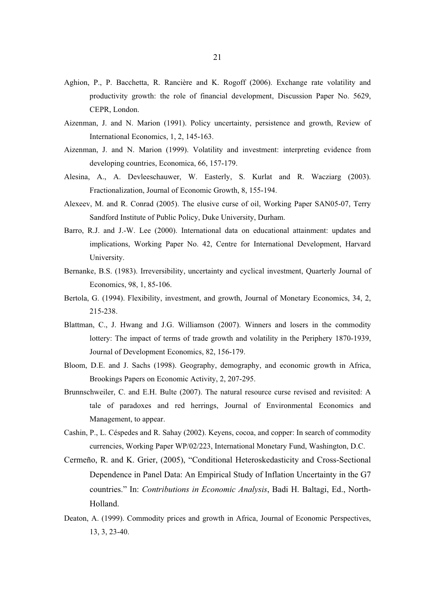- Aghion, P., P. Bacchetta, R. Rancière and K. Rogoff (2006). Exchange rate volatility and productivity growth: the role of financial development, Discussion Paper No. 5629, CEPR, London.
- Aizenman, J. and N. Marion (1991). Policy uncertainty, persistence and growth, Review of International Economics, 1, 2, 145-163.
- Aizenman, J. and N. Marion (1999). Volatility and investment: interpreting evidence from developing countries, Economica, 66, 157-179.
- Alesina, A., A. Devleeschauwer, W. Easterly, S. Kurlat and R. Wacziarg (2003). Fractionalization, Journal of Economic Growth, 8, 155-194.
- Alexeev, M. and R. Conrad (2005). The elusive curse of oil, Working Paper SAN05-07, Terry Sandford Institute of Public Policy, Duke University, Durham.
- Barro, R.J. and J.-W. Lee (2000). International data on educational attainment: updates and implications, Working Paper No. 42, Centre for International Development, Harvard University.
- Bernanke, B.S. (1983). Irreversibility, uncertainty and cyclical investment, Quarterly Journal of Economics, 98, 1, 85-106.
- Bertola, G. (1994). Flexibility, investment, and growth, Journal of Monetary Economics, 34, 2, 215-238.
- Blattman, C., J. Hwang and J.G. Williamson (2007). Winners and losers in the commodity lottery: The impact of terms of trade growth and volatility in the Periphery 1870-1939, Journal of Development Economics, 82, 156-179.
- Bloom, D.E. and J. Sachs (1998). Geography, demography, and economic growth in Africa, Brookings Papers on Economic Activity, 2, 207-295.
- Brunnschweiler, C. and E.H. Bulte (2007). The natural resource curse revised and revisited: A tale of paradoxes and red herrings, Journal of Environmental Economics and Management, to appear.
- Cashin, P., L. Céspedes and R. Sahay (2002). Keyens, cocoa, and copper: In search of commodity currencies, Working Paper WP/02/223, International Monetary Fund, Washington, D.C.
- Cermeño, R. and K. Grier, (2005), "Conditional Heteroskedasticity and Cross-Sectional Dependence in Panel Data: An Empirical Study of Inflation Uncertainty in the G7 countries." In: *Contributions in Economic Analysis*, Badi H. Baltagi, Ed., North-Holland.
- Deaton, A. (1999). Commodity prices and growth in Africa, Journal of Economic Perspectives, 13, 3, 23-40.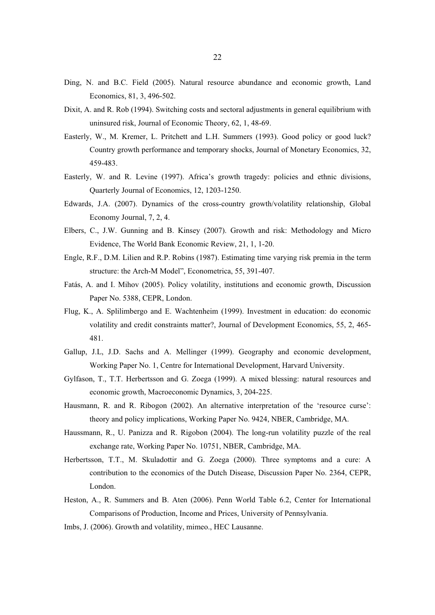- Ding, N. and B.C. Field (2005). Natural resource abundance and economic growth, Land Economics, 81, 3, 496-502.
- Dixit, A. and R. Rob (1994). Switching costs and sectoral adjustments in general equilibrium with uninsured risk, Journal of Economic Theory, 62, 1, 48-69.
- Easterly, W., M. Kremer, L. Pritchett and L.H. Summers (1993). Good policy or good luck? Country growth performance and temporary shocks, Journal of Monetary Economics, 32, 459-483.
- Easterly, W. and R. Levine (1997). Africa's growth tragedy: policies and ethnic divisions, Quarterly Journal of Economics, 12, 1203-1250.
- Edwards, J.A. (2007). Dynamics of the cross-country growth/volatility relationship, Global Economy Journal, 7, 2, 4.
- Elbers, C., J.W. Gunning and B. Kinsey (2007). Growth and risk: Methodology and Micro Evidence, The World Bank Economic Review, 21, 1, 1-20.
- Engle, R.F., D.M. Lilien and R.P. Robins (1987). Estimating time varying risk premia in the term structure: the Arch-M Model", Econometrica, 55, 391-407.
- Fatás, A. and I. Mihov (2005). Policy volatility, institutions and economic growth, Discussion Paper No. 5388, CEPR, London.
- Flug, K., A. Splilimbergo and E. Wachtenheim (1999). Investment in education: do economic volatility and credit constraints matter?, Journal of Development Economics, 55, 2, 465- 481.
- Gallup, J.L, J.D. Sachs and A. Mellinger (1999). Geography and economic development, Working Paper No. 1, Centre for International Development, Harvard University.
- Gylfason, T., T.T. Herbertsson and G. Zoega (1999). A mixed blessing: natural resources and economic growth, Macroeconomic Dynamics, 3, 204-225.
- Hausmann, R. and R. Ribogon (2002). An alternative interpretation of the 'resource curse': theory and policy implications, Working Paper No. 9424, NBER, Cambridge, MA.
- Haussmann, R., U. Panizza and R. Rigobon (2004). The long-run volatility puzzle of the real exchange rate, Working Paper No. 10751, NBER, Cambridge, MA.
- Herbertsson, T.T., M. Skuladottir and G. Zoega (2000). Three symptoms and a cure: A contribution to the economics of the Dutch Disease, Discussion Paper No. 2364, CEPR, London.
- Heston, A., R. Summers and B. Aten (2006). Penn World Table 6.2, Center for International Comparisons of Production, Income and Prices, University of Pennsylvania.
- Imbs, J. (2006). Growth and volatility, mimeo., HEC Lausanne.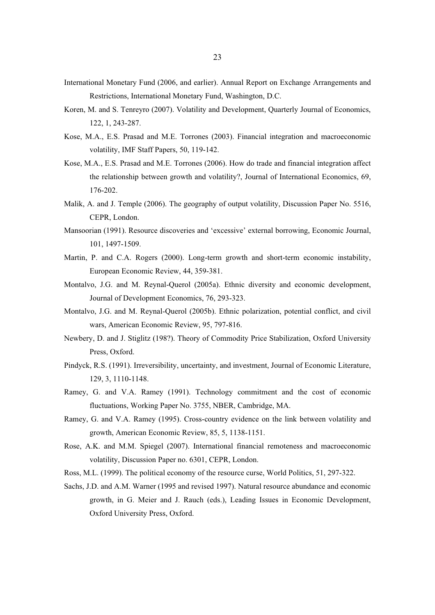- International Monetary Fund (2006, and earlier). Annual Report on Exchange Arrangements and Restrictions, International Monetary Fund, Washington, D.C.
- Koren, M. and S. Tenreyro (2007). Volatility and Development, Quarterly Journal of Economics, 122, 1, 243-287.
- Kose, M.A., E.S. Prasad and M.E. Torrones (2003). Financial integration and macroeconomic volatility, IMF Staff Papers, 50, 119-142.
- Kose, M.A., E.S. Prasad and M.E. Torrones (2006). How do trade and financial integration affect the relationship between growth and volatility?, Journal of International Economics, 69, 176-202.
- Malik, A. and J. Temple (2006). The geography of output volatility, Discussion Paper No. 5516, CEPR, London.
- Mansoorian (1991). Resource discoveries and 'excessive' external borrowing, Economic Journal, 101, 1497-1509.
- Martin, P. and C.A. Rogers (2000). Long-term growth and short-term economic instability, European Economic Review, 44, 359-381.
- Montalvo, J.G. and M. Reynal-Querol (2005a). Ethnic diversity and economic development, Journal of Development Economics, 76, 293-323.
- Montalvo, J.G. and M. Reynal-Querol (2005b). Ethnic polarization, potential conflict, and civil wars, American Economic Review, 95, 797-816.
- Newbery, D. and J. Stiglitz (198?). Theory of Commodity Price Stabilization, Oxford University Press, Oxford.
- Pindyck, R.S. (1991). Irreversibility, uncertainty, and investment, Journal of Economic Literature, 129, 3, 1110-1148.
- Ramey, G. and V.A. Ramey (1991). Technology commitment and the cost of economic fluctuations, Working Paper No. 3755, NBER, Cambridge, MA.
- Ramey, G. and V.A. Ramey (1995). Cross-country evidence on the link between volatility and growth, American Economic Review, 85, 5, 1138-1151.
- Rose, A.K. and M.M. Spiegel (2007). International financial remoteness and macroeconomic volatility, Discussion Paper no. 6301, CEPR, London.
- Ross, M.L. (1999). The political economy of the resource curse, World Politics, 51, 297-322.
- Sachs, J.D. and A.M. Warner (1995 and revised 1997). Natural resource abundance and economic growth, in G. Meier and J. Rauch (eds.), Leading Issues in Economic Development, Oxford University Press, Oxford.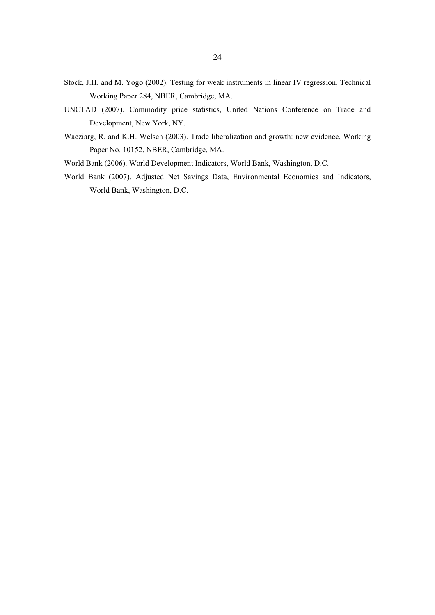- Stock, J.H. and M. Yogo (2002). Testing for weak instruments in linear IV regression, Technical Working Paper 284, NBER, Cambridge, MA.
- UNCTAD (2007). Commodity price statistics, United Nations Conference on Trade and Development, New York, NY.
- Wacziarg, R. and K.H. Welsch (2003). Trade liberalization and growth: new evidence, Working Paper No. 10152, NBER, Cambridge, MA.
- World Bank (2006). World Development Indicators, World Bank, Washington, D.C.
- World Bank (2007). Adjusted Net Savings Data, Environmental Economics and Indicators, World Bank, Washington, D.C.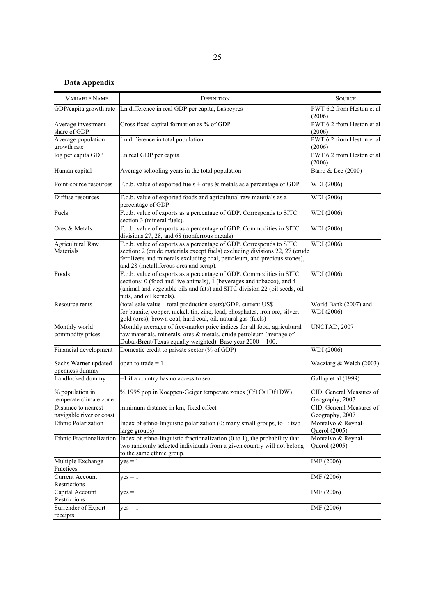## **Data Appendix**

| <b>VARIABLE NAME</b>                            | <b>DEFINITION</b>                                                                                                                                                                                                                                                         | <b>SOURCE</b>                               |
|-------------------------------------------------|---------------------------------------------------------------------------------------------------------------------------------------------------------------------------------------------------------------------------------------------------------------------------|---------------------------------------------|
| GDP/capita growth rate                          | Ln difference in real GDP per capita, Laspeyres                                                                                                                                                                                                                           | PWT 6.2 from Heston et al<br>(2006)         |
| Average investment<br>share of GDP              | Gross fixed capital formation as % of GDP                                                                                                                                                                                                                                 | PWT 6.2 from Heston et al<br>(2006)         |
| Average population<br>growth rate               | Ln difference in total population                                                                                                                                                                                                                                         | PWT 6.2 from Heston et al<br>(2006)         |
| log per capita GDP                              | Ln real GDP per capita                                                                                                                                                                                                                                                    | PWT 6.2 from Heston et al<br>(2006)         |
| Human capital                                   | Average schooling years in the total population                                                                                                                                                                                                                           | Barro & Lee (2000)                          |
| Point-source resources                          | F.o.b. value of exported fuels + ores $\&$ metals as a percentage of GDP                                                                                                                                                                                                  | WDI (2006)                                  |
| Diffuse resources                               | F.o.b. value of exported foods and agricultural raw materials as a<br>percentage of GDP                                                                                                                                                                                   | WDI (2006)                                  |
| Fuels                                           | F.o.b. value of exports as a percentage of GDP. Corresponds to SITC<br>section 3 (mineral fuels).                                                                                                                                                                         | WDI (2006)                                  |
| Ores & Metals                                   | F.o.b. value of exports as a percentage of GDP. Commodities in SITC<br>divisions 27, 28, and 68 (nonferrous metals).                                                                                                                                                      | WDI (2006)                                  |
| <b>Agricultural Raw</b><br>Materials            | F.o.b. value of exports as a percentage of GDP. Corresponds to SITC<br>section: 2 (crude materials except fuels) excluding divisions 22, 27 (crude<br>fertilizers and minerals excluding coal, petroleum, and precious stones),<br>and 28 (metalliferous ores and scrap). | WDI (2006)                                  |
| Foods                                           | F.o.b. value of exports as a percentage of GDP. Commodities in SITC<br>sections: 0 (food and live animals), 1 (beverages and tobacco), and 4<br>(animal and vegetable oils and fats) and SITC division 22 (oil seeds, oil<br>nuts, and oil kernels).                      | WDI (2006)                                  |
| Resource rents                                  | (total sale value - total production costs)/GDP, current US\$<br>for bauxite, copper, nickel, tin, zinc, lead, phosphates, iron ore, silver,<br>gold (ores); brown coal, hard coal, oil, natural gas (fuels)                                                              | World Bank (2007) and<br>WDI (2006)         |
| Monthly world<br>commodity prices               | Monthly averages of free-market price indices for all food, agricultural<br>raw materials, minerals, ores & metals, crude petroleum (average of<br>Dubai/Brent/Texas equally weighted). Base year 2000 = 100.                                                             | UNCTAD, 2007                                |
| Financial development                           | Domestic credit to private sector (% of GDP)                                                                                                                                                                                                                              | WDI (2006)                                  |
| Sachs Warner updated<br>openness dummy          | open to trade = $1$                                                                                                                                                                                                                                                       | Wacziarg & Welch (2003)                     |
| Landlocked dummy                                | =1 if a country has no access to sea                                                                                                                                                                                                                                      | Gallup et al (1999)                         |
| % population in<br>temperate climate zone       | $\%$ 1995 pop in Koeppen-Geiger temperate zones (Cf+Cs+Df+DW)                                                                                                                                                                                                             | CID, General Measures of<br>Geography, 2007 |
| Distance to nearest<br>navigable river or coast | minimum distance in km, fixed effect                                                                                                                                                                                                                                      | CID, General Measures of<br>Geography, 2007 |
| Ethnic Polarization                             | Index of ethno-linguistic polarization (0: many small groups, to 1: two<br>large groups)                                                                                                                                                                                  | Montalvo & Reynal-<br>Querol (2005)         |
| Ethnic Fractionalization                        | Index of ethno-linguistic fractionalization (0 to 1), the probability that<br>two randomly selected individuals from a given country will not belong<br>to the same ethnic group.                                                                                         | Montalvo & Reynal-<br>Querol $(2005)$       |
| Multiple Exchange<br>Practices                  | $ ves = 1$                                                                                                                                                                                                                                                                | IMF (2006)                                  |
| <b>Current Account</b><br>Restrictions          | $yes = 1$                                                                                                                                                                                                                                                                 | IMF (2006)                                  |
| Capital Account<br>Restrictions                 | $yes = 1$                                                                                                                                                                                                                                                                 | IMF (2006)                                  |
| Surrender of Export<br>receipts                 | $yes = 1$                                                                                                                                                                                                                                                                 | IMF (2006)                                  |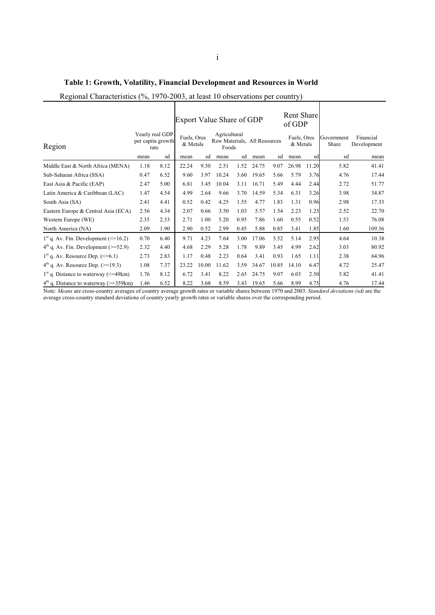#### **Table 1: Growth, Volatility, Financial Development and Resources in World**

# Regional Characteristics (%, 1970-2003, at least 10 observations per country)

|                                             |                                              |      | <b>Export Value Share of GDP</b> |       |                                                       |      |       | <b>Rent Share</b><br>of GDP |                         |       |                     |                          |
|---------------------------------------------|----------------------------------------------|------|----------------------------------|-------|-------------------------------------------------------|------|-------|-----------------------------|-------------------------|-------|---------------------|--------------------------|
| Region                                      | Yearly real GDP<br>per capita growth<br>rate |      | Fuels, Ores<br>& Metals          |       | Agricultural<br>Raw Materials, All Resources<br>Foods |      |       |                             | Fuels, Ores<br>& Metals |       | Government<br>Share | Financial<br>Development |
|                                             | mean                                         | sd   | mean                             | sd    | mean                                                  | sd   | mean  | sd                          | mean                    | sd    | sd                  | mean                     |
| Middle East & North Africa (MENA)           | 1.18                                         | 8.12 | 22.24                            | 9.30  | 2.51                                                  | 1.52 | 24.75 | 9.07                        | 26.98                   | 11.20 | 5.82                | 41.41                    |
| Sub-Saharan Africa (SSA)                    | 0.47                                         | 6.52 | 9.60                             | 3.97  | 10.24                                                 | 3.60 | 19.65 | 5.66                        | 5.79                    | 3.76  | 4.76                | 17.44                    |
| East Asia & Pacific (EAP)                   | 2.47                                         | 5.00 | 6.81                             | 3.45  | 10.04                                                 | 3.11 | 16.71 | 5.49                        | 4.44                    | 2.44  | 2.72                | 51.77                    |
| Latin America & Caribbean (LAC)             | 1.47                                         | 4.54 | 4.99                             | 2.64  | 9.66                                                  | 3.70 | 14.59 | 5.34                        | 6.31                    | 3.26  | 3.98                | 34.87                    |
| South Asia (SA)                             | 2.41                                         | 4.41 | 0.52                             | 0.42  | 4.25                                                  | 1.55 | 4.77  | 1.83                        | 1.31                    | 0.96  | 2.98                | 17.33                    |
| Eastern Europe & Central Asia (ECA)         | 2.56                                         | 4.34 | 2.07                             | 0.66  | 3.50                                                  | 1.03 | 5.57  | 1.54                        | 2.23                    | 1.23  | 2.52                | 22.70                    |
| Western Europe (WE)                         | 2.35                                         | 2.33 | 2.71                             | 1.00  | 5.20                                                  | 0.95 | 7.86  | 1.60                        | 0.55                    | 0.52  | 1.53                | 76.08                    |
| North America (NA)                          | 2.09                                         | 1.90 | 2.90                             | 0.52  | 2.99                                                  | 0.45 | 5.88  | 0.85                        | 3.41                    | 1.85  | 1.60                | 109.36                   |
| $1st$ q. Av. Fin. Development (<=16.2)      | 0.70                                         | 6.40 | 9.71                             | 4.23  | 7.64                                                  | 3.00 | 17.06 | 5.52                        | 5.14                    | 2.95  | 4.64                | 10.38                    |
| $4th$ q. Av. Fin. Development (>=52.9)      | 2.32                                         | 4.40 | 4.68                             | 2.29  | 5.28                                                  | 1.78 | 9.89  | 3.45                        | 4.99                    | 2.62  | 3.03                | 80.92                    |
| $1st$ q. Av. Resource Dep. (<=6.1)          | 2.73                                         | 2.83 | 1.17                             | 0.48  | 2.23                                                  | 0.64 | 3.41  | 0.93                        | 1.65                    | 1.11  | 2.38                | 64.96                    |
| $4th$ q. Av. Resource Dep. (>=19.3)         | 1.08                                         | 7.37 | 23.22                            | 10.00 | 11.62                                                 | 3.59 | 34.67 | 10.85                       | 14.10                   | 6.47  | 4.72                | 25.47                    |
| $1st$ q. Distance to waterway (<=49km)      | 1.76                                         | 8.12 | 6.72                             | 3.41  | 8.22                                                  | 2.65 | 24.75 | 9.07                        | 6.03                    | 2.50  | 5.82                | 41.41                    |
| $4th$ q. Distance to waterway ( $>=$ 359km) | 1.46                                         | 6.52 | 8.22                             | 3.68  | 8.59                                                  | 3.43 | 19.65 | 5.66                        | 8.99                    | 4.75  | 4.76                | 17.44                    |

Note: *Means* are cross-country averages of country average growth rates or variable shares between 1970 and 2003. *Standard deviations (sd)* are the average cross-country standard deviations of country yearly growth rates or variable shares over the corresponding period.

T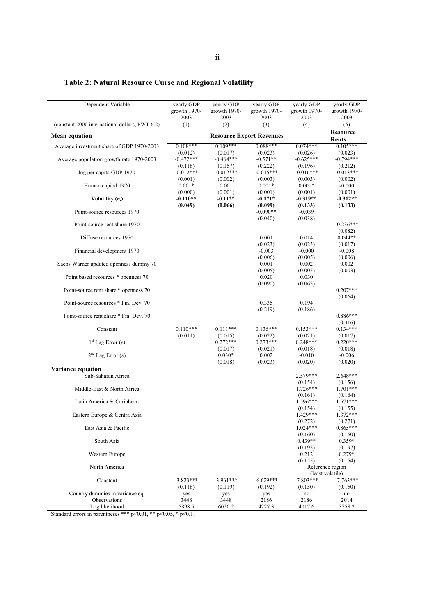## **Table 2: Natural Resource Curse and Regional Volatility**

| Dependent Variable                             | yearly GDP            | yearly GDP   | yearly GDP                      | yearly GDP            | yearly GDP            |
|------------------------------------------------|-----------------------|--------------|---------------------------------|-----------------------|-----------------------|
|                                                | growth 1970-          | growth 1970- | growth 1970-                    | growth 1970-          | growth 1970-          |
|                                                | 2003                  | 2003         | 2003                            | 2003                  | 2003                  |
| (constant 2000 international dollars, PWT 6.2) | (1)                   | (2)          | (3)                             | (4)                   | (5)                   |
|                                                |                       |              |                                 |                       | Resource              |
| <b>Mean equation</b>                           |                       |              | <b>Resource Export Revenues</b> |                       | Rents                 |
| Average investment share of GDP 1970-2003      | $0.108***$            | $0.109***$   | $0.088***$                      | $0.074***$            | $0.105***$            |
|                                                | (0.012)               | (0.017)      | (0.023)                         | (0.026)               | (0.023)               |
| Average population growth rate 1970-2003       | $-0.472***$           | $-0.464***$  | $-0.571**$                      | $-0.625***$           | $-0.794***$           |
|                                                | (0.118)               | (0.157)      | (0.222)                         | (0.196)               | (0.212)               |
| log per capita GDP 1970                        | $-0.012***$           | $-0.012***$  | $-0.015***$                     | $-0.016***$           | $-0.013***$           |
|                                                | (0.001)               | (0.002)      | (0.003)                         | (0.003)               | (0.002)               |
| Human capital 1970                             | $0.001*$              | 0.001        | $0.001*$                        | $0.001*$              | $-0.000$              |
|                                                |                       | (0.001)      |                                 |                       | (0.001)               |
| Volatility $(\sigma_i)$                        | (0.000)<br>$-0.110**$ | $-0.112*$    | (0.001)                         | (0.001)<br>$-0.319**$ | $-0.312**$            |
|                                                |                       |              | $-0.171*$                       |                       |                       |
| Point-source resources 1970                    | (0.049)               | (0.066)      | (0.099)<br>$-0.090**$           | (0.133)               | (0.133)               |
|                                                |                       |              |                                 | $-0.039$              |                       |
| Point-source rent share 1970                   |                       |              | (0.040)                         | (0.038)               | $-0.236***$           |
|                                                |                       |              |                                 |                       |                       |
| Diffuse resources 1970                         |                       |              | 0.001                           | 0.014                 | (0.082)<br>$0.044**$  |
|                                                |                       |              | (0.023)                         | (0.023)               |                       |
| Financial development 1970                     |                       |              | $-0.003$                        | $-0.000$              | (0.017)<br>$-0.008$   |
|                                                |                       |              | (0.006)                         | (0.005)               | (0.006)               |
| Sachs Warner updated openness dummy 70         |                       |              |                                 |                       |                       |
|                                                |                       |              | 0.001                           | 0.002                 | 0.002                 |
|                                                |                       |              | (0.005)                         | (0.005)               | (0.003)               |
| Point based resources * openness 70            |                       |              | 0.020                           | 0.030                 |                       |
| Point-source rent share * openness 70          |                       |              | (0.090)                         | (0.065)               | $0.207***$            |
|                                                |                       |              |                                 |                       | (0.064)               |
| Point-source resources * Fin. Dev. 70          |                       |              | 0.335                           | 0.194                 |                       |
|                                                |                       |              | (0.219)                         | (0.186)               |                       |
| Point-source rent share * Fin. Dev. 70         |                       |              |                                 |                       | $0.886***$            |
|                                                |                       |              |                                 |                       | (0.316)               |
| Constant                                       | $0.110***$            | $0.111***$   | $0.136***$                      | $0.153***$            | $0.134***$            |
|                                                | (0.011)               | (0.015)      | (0.022)                         | (0.021)               | (0.017)               |
| $1^\text{st}$ Lag Error (ε)                    |                       | $0.272***$   | $0.273***$                      | $0.248***$            | $0.220***$            |
|                                                |                       | (0.017)      | (0.021)                         | (0.018)               | (0.018)               |
| $2nd$ Lag Error ( $\varepsilon$ )              |                       | $0.030*$     | 0.002                           | $-0.010$              | $-0.006$              |
|                                                |                       | (0.018)      | (0.023)                         | (0.020)               | (0.020)               |
| Variance equation                              |                       |              |                                 |                       |                       |
| Sub-Saharan Africa                             |                       |              |                                 | 2.579***              | 2.648***              |
|                                                |                       |              |                                 |                       |                       |
| Middle-East & North Africa                     |                       |              |                                 | (0.154)<br>$1.726***$ | (0.156)<br>$1.701***$ |
|                                                |                       |              |                                 | (0.161)               | (0.164)               |
| Latin America & Caribbean                      |                       |              |                                 | $1.596***$            | $1.571***$            |
|                                                |                       |              |                                 | (0.154)               | (0.155)               |
| Eastern Europe & Centra Asia                   |                       |              |                                 | $1.429***$            | $1.372***$            |
|                                                |                       |              |                                 | (0.272)               | (0.271)               |
| East Asia & Pacific                            |                       |              |                                 | $1.024***$            | $0.865***$            |
|                                                |                       |              |                                 | (0.160)               | (0.160)               |
| South Asia                                     |                       |              |                                 | $0.439**$             | $0.359*$              |
|                                                |                       |              |                                 | (0.195)               | (0.197)               |
| Western Europe                                 |                       |              |                                 | 0.212                 | $0.279*$              |
|                                                |                       |              |                                 | (0.155)               | (0.154)               |
| North America                                  |                       |              |                                 |                       | Reference region      |
|                                                |                       |              |                                 |                       | (least volatile)      |
| Constant                                       | $-3.823***$           | $-3.961***$  | $-6.629***$                     | $-7.803***$           | $-7.763***$           |
|                                                | (0.118)               | (0.119)      | (0.192)                         | (0.150)               | (0.150)               |
| Country dummies in variance eq.                |                       |              |                                 | no                    | no                    |
| Observations                                   | yes<br>3448           | yes<br>3448  | yes<br>2186                     | 2186                  | 2014                  |
| Log likelihood                                 | 5898.5                | 6020.2       | 4227.3                          | 4017.6                | 3758.2                |
|                                                |                       |              |                                 |                       |                       |

Standard errors in parentheses \*\*\*  $p<0.01$ , \*\*  $p<0.05$ , \*  $p<0.1$ .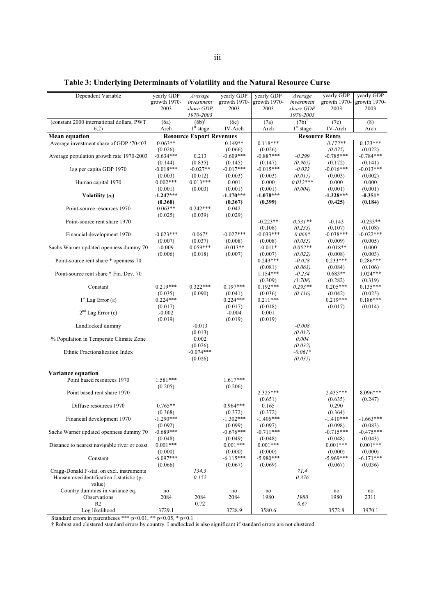**Table 3: Underlying Determinants of Volatility and the Natural Resource Curse** 

| Dependent Variable                              | yearly GDP             | Average                         | yearly GDP             | yearly GDP             | Average                | yearly GDP             | yearly GDP             |
|-------------------------------------------------|------------------------|---------------------------------|------------------------|------------------------|------------------------|------------------------|------------------------|
|                                                 | growth 1970-           | investment                      | growth 1970-           | growth 1970-           | investment             | growth 1970-           | growth 1970-           |
|                                                 | 2003                   | share GDP<br>1970-2003          | 2003                   | 2003                   | share GDP<br>1970-2003 | 2003                   | 2003                   |
| (constant 2000 international dollars, PWT       | (6a)                   | $(6b)$ <sup>†</sup>             | (6c)                   | (7a)                   | $(7b)$ <sup>†</sup>    | (7c)                   | (8)                    |
| 6.2)                                            | Arch                   | $1st$ stage                     | IV-Arch                | Arch                   | $1st$ stage            | IV-Arch                | Arch                   |
| <b>Mean equation</b>                            |                        | <b>Resource Export Revenues</b> |                        |                        |                        | <b>Resource Rents</b>  |                        |
| Average investment share of GDP '70-'03         | $0.063**$              |                                 | $0.149**$              | $0.118***$             |                        | $0.172**$              | $0.123***$             |
|                                                 | (0.026)                |                                 | (0.066)                | (0.026)                |                        | (0.075)                | (0.022)                |
| Average population growth rate 1970-2003        | $-0.634***$            | 0.213                           | $-0.609***$            | $-0.887***$            | $-0.299$               | $-0.785***$            | $-0.784***$            |
| log per capita GDP 1970                         | (0.144)<br>$-0.018***$ | (0.835)                         | (0.145)                | (0.147)                | (0.965)                | (0.172)<br>$-0.016***$ | (0.141)<br>$-0.013***$ |
|                                                 | (0.003)                | $-0.027**$<br>(0.012)           | $-0.017***$<br>(0.003) | $-0.015***$<br>(0.003) | $-0.022$<br>(0.015)    | (0.003)                | (0.002)                |
| Human capital 1970                              | $0.002***$             | $0.013***$                      | 0.001                  | 0.000                  | $0.012***$             | 0.000                  | 0.000                  |
|                                                 | (0.001)                | (0.003)                         | (0.001)                | (0.001)                | (0.004)                | (0.001)                | (0.001)                |
| Volatility $(\sigma_i)$                         | $-1.247***$            |                                 | $-1.170***$            | $-1.078***$            |                        | $-1.328***$            | $-0.351*$              |
|                                                 | (0.360)                |                                 | (0.367)                | (0.399)                |                        | (0.425)                | (0.184)                |
| Point-source resources 1970                     | $0.063**$              | $0.242***$                      | 0.042                  |                        |                        |                        |                        |
| Point-source rent share 1970                    | (0.025)                | (0.039)                         | (0.029)                | $-0.223**$             | $0.531**$              | $-0.143$               | $-0.233**$             |
|                                                 |                        |                                 |                        | (0.108)                | (0.233)                | (0.107)                | (0.108)                |
| Financial development 1970                      | $-0.023***$            | $0.067*$                        | $-0.027***$            | $-0.033***$            | $0.066*$               | $-0.038***$            | $-0.022***$            |
|                                                 | (0.007)                | (0.037)                         | (0.008)                | (0.008)                | (0.035)                | (0.009)                | (0.005)                |
| Sachs Warner updated openness dummy 70          | $-0.009$               | $0.059***$                      | $-0.013**$             | $-0.011*$              | $0.052**$              | $-0.018**$             | 0.000                  |
|                                                 | (0.006)                | (0.018)                         | (0.007)                | (0.007)                | (0.022)                | (0.008)                | (0.003)                |
| Point-source rent share * openness 70           |                        |                                 |                        | $0.243***$             | $-0.028$               | $0.233***$             | $0.286***$             |
| Point-source rent share * Fin. Dev. 70          |                        |                                 |                        | (0.081)<br>$1.154***$  | (0.063)<br>$-0.234$    | (0.084)<br>$0.683**$   | (0.106)<br>1.024***    |
|                                                 |                        |                                 |                        | (0.309)                | (1.708)                | (0.282)                | (0.319)                |
| Constant                                        | $0.219***$             | $0.322***$                      | $0.197***$             | $0.192***$             | $0.293**$              | $0.205***$             | $0.135***$             |
|                                                 | (0.035)                | (0.090)                         | (0.041)                | (0.036)                | (0.116)                | (0.042)                | (0.025)                |
| $1st$ Lag Error ( $\varepsilon$ )               | $0.224***$             |                                 | $0.224***$             | $0.211***$             |                        | $0.219***$             | $0.186***$             |
|                                                 | (0.017)                |                                 | (0.017)                | (0.018)                |                        | (0.017)                | (0.014)                |
| $2nd$ Lag Error (ε)                             | $-0.002$               |                                 | $-0.004$               | 0.001                  |                        |                        |                        |
|                                                 | (0.019)                | $-0.013$                        | (0.019)                | (0.019)                | $-0.008$               |                        |                        |
| Landlocked dummy                                |                        | (0.013)                         |                        |                        | (0.012)                |                        |                        |
| % Population in Temperate Climate Zone          |                        | 0.002                           |                        |                        | 0.004                  |                        |                        |
|                                                 |                        | (0.026)                         |                        |                        | (0.032)                |                        |                        |
| Ethnic Fractionalization Index                  |                        | $-0.074***$                     |                        |                        | $-0.061*$              |                        |                        |
|                                                 |                        | (0.026)                         |                        |                        | (0.035)                |                        |                        |
|                                                 |                        |                                 |                        |                        |                        |                        |                        |
| <b>Variance equation</b>                        |                        |                                 |                        |                        |                        |                        |                        |
| Point based resources 1970                      | 1.581***               |                                 | $1.617***$             |                        |                        |                        |                        |
| Point based rent share 1970                     | (0.205)                |                                 | (0.206)                | 2.325***               |                        | 2.435***               | 8.096***               |
|                                                 |                        |                                 |                        | (0.651)                |                        | (0.635)                | (0.247)                |
| Diffuse resources 1970                          | $0.765**$              |                                 | $0.964***$             | 0.165                  |                        | 0.290                  |                        |
|                                                 | (0.368)                |                                 | (0.372)                | (0.372)                |                        | (0.364)                |                        |
| Financial development 1970                      | -1.290***              |                                 | $-1.302***$            | $-1.405***$            |                        | $-1.410***$            | $-1.663***$            |
|                                                 | (0.092)                |                                 | (0.099)                | (0.097)                |                        | (0.098)                | (0.083)                |
| Sachs Warner updated openness dummy 70          | $-0.689***$            |                                 | $-0.676***$<br>(0.049) | $-0.711***$            |                        | $-0.715***$            | $-0.475***$<br>(0.043) |
| Distance to nearest navigable river or coast    | (0.048)<br>$0.001***$  |                                 | $0.001***$             | (0.048)<br>$0.001***$  |                        | (0.048)<br>$0.001***$  | $0.001***$             |
|                                                 | (0.000)                |                                 | (0.000)                | (0.000)                |                        | (0.000)                | (0.000)                |
| Constant                                        | $-6.097***$            |                                 | $-6.115***$            | $-5.980***$            |                        | $-5.969***$            | $-6.171***$            |
|                                                 | (0.066)                |                                 | (0.067)                | (0.069)                |                        | (0.067)                | (0.036)                |
| Cragg-Donald F-stat. on excl. instruments       |                        | 134.3                           |                        |                        | 71.4                   |                        |                        |
| Hansen overidentification J-statistic (p-       |                        | 0.152                           |                        |                        | 0.376                  |                        |                        |
| value)                                          |                        |                                 |                        |                        |                        |                        |                        |
| Country dummies in variance eq.<br>Observations | no<br>2084             | 2084                            | no<br>2084             | no<br>1980             | 1980                   | no<br>1980             | no<br>2311             |
| R <sub>2</sub>                                  |                        | 0.72                            |                        |                        | 0.67                   |                        |                        |
| Log likelihood                                  | 3729.1                 |                                 | 3728.9                 | 3580.6                 |                        | 3572.8                 | 3970.1                 |

Standard errors in parentheses \*\*\*  $p<0.01$ , \*\*  $p<0.05$ , \*  $p<0.1$ 

† Robust and clustered standard errors by country. Landlocked is also significant if standard errors are not clustered.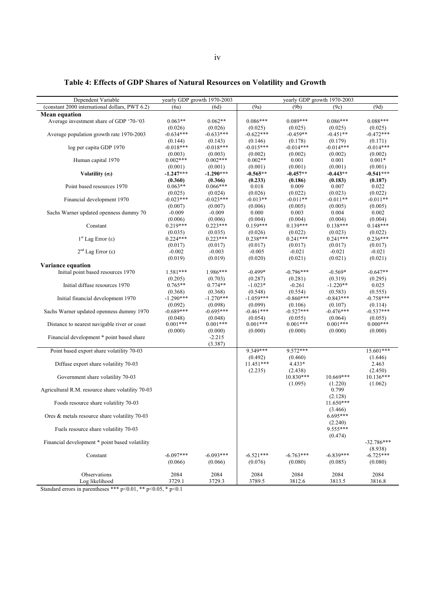| yearly GDP growth 1970-2003<br>(constant 2000 international dollars, PWT 6.2)<br>(9a)<br>(9d)<br>(6a)<br>(6d)<br>(9b)<br>(9c)<br><b>Mean equation</b><br>Average investment share of GDP '70-'03<br>$0.086***$<br>$0.089***$<br>$0.086***$<br>$0.088***$<br>$0.063**$<br>$0.062**$<br>(0.026)<br>(0.026)<br>(0.025)<br>(0.025)<br>(0.025)<br>(0.025)<br>$-0.622***$<br>$-0.459**$<br>$-0.451**$<br>Average population growth rate 1970-2003<br>$-0.634***$<br>$-0.633***$<br>$-0.472***$<br>(0.144)<br>(0.143)<br>(0.146)<br>(0.178)<br>(0.179)<br>(0.171)<br>$-0.018***$<br>$-0.015***$<br>$-0.014***$<br>log per capita GDP 1970<br>$-0.018***$<br>$-0.014***$<br>$-0.014***$<br>(0.003)<br>(0.003)<br>(0.002)<br>(0.002)<br>(0.002)<br>(0.002)<br>$0.002***$<br>$0.002***$<br>$0.002**$<br>Human capital 1970<br>0.001<br>0.001<br>$0.001*$<br>(0.001)<br>(0.001)<br>(0.001)<br>(0.001)<br>(0.001)<br>(0.001)<br>$-1.290***$<br>$-0.457**$<br>Volatility $(\sigma_i)$<br>$-1.247***$<br>$-0.565**$<br>$-0.443**$<br>$-0.541***$<br>(0.366)<br>(0.233)<br>(0.186)<br>(0.183)<br>(0.187)<br>(0.360)<br>Point based resources 1970<br>$0.063**$<br>$0.066***$<br>0.018<br>0.009<br>0.007<br>0.022<br>(0.026)<br>(0.022)<br>(0.023)<br>(0.025)<br>(0.024)<br>(0.022)<br>Financial development 1970<br>$-0.023***$<br>$-0.023***$<br>$-0.013**$<br>$-0.011**$<br>$-0.011**$<br>$-0.011**$<br>(0.007)<br>(0.007)<br>(0.006)<br>(0.005)<br>(0.005)<br>(0.005)<br>Sachs Warner updated openness dummy 70<br>$-0.009$<br>$-0.009$<br>0.000<br>0.003<br>0.004<br>0.002<br>(0.006)<br>(0.006)<br>(0.004)<br>(0.004)<br>(0.004)<br>(0.004)<br>$0.159***$<br>$0.139***$<br>$0.138***$<br>Constant<br>$0.219***$<br>$0.223***$<br>$0.148***$<br>(0.022)<br>(0.023)<br>(0.022)<br>(0.035)<br>(0.035)<br>(0.026)<br>$1st$ Lag Error $(\epsilon)$<br>$0.224***$<br>$0.223***$<br>$0.238***$<br>$0.241***$<br>$0.241***$<br>$0.236***$<br>(0.017)<br>(0.017)<br>(0.017)<br>(0.017)<br>(0.017)<br>(0.017)<br>$2nd$ Lag Error ( $\varepsilon$ )<br>$-0.021$<br>$-0.021$<br>$-0.002$<br>$-0.003$<br>$-0.005$<br>$-0.021$<br>(0.019)<br>(0.019)<br>(0.020)<br>(0.021)<br>(0.021)<br>(0.021)<br><b>Variance equation</b><br>Initial point based resources 1970<br>$-0.796***$<br>1.581***<br>1.986***<br>$-0.499*$<br>$-0.569*$<br>$-0.647**$<br>(0.205)<br>(0.703)<br>(0.287)<br>(0.281)<br>(0.319)<br>(0.295)<br>Initial diffuse resources 1970<br>$-1.220**$<br>$0.765**$<br>$0.774**$<br>$-1.023*$<br>$-0.261$<br>0.025<br>(0.554)<br>(0.548)<br>(0.583)<br>(0.555)<br>(0.368)<br>(0.368)<br>$-1.290***$<br>$-1.270***$<br>$-1.059***$<br>$-0.860***$<br>$-0.843***$<br>$-0.758***$<br>Initial financial development 1970<br>(0.092)<br>(0.098)<br>(0.099)<br>(0.106)<br>(0.107)<br>(0.114)<br>Sachs Warner updated openness dummy 1970<br>$-0.689***$<br>$-0.695***$<br>$-0.461***$<br>$-0.527***$<br>$-0.476***$<br>$-0.537***$<br>(0.064)<br>(0.055)<br>(0.048)<br>(0.048)<br>(0.054)<br>(0.055)<br>$0.001***$<br>$0.001***$<br>$0.001***$<br>$0.000***$<br>Distance to nearest navigable river or coast<br>$0.001***$<br>$0.001***$<br>(0.000)<br>(0.000)<br>(0.000)<br>(0.000)<br>(0.000)<br>(0.000)<br>Financial development * point based share<br>$-2.215$<br>(3.387)<br>Point based export share volatility 70-03<br>$9.349***$<br>9.572***<br>15.601***<br>(0.492)<br>(0.460)<br>(1.646)<br>Diffuse export share volatility 70-03<br>11.451***<br>$4.433*$<br>2.463<br>(2.235)<br>(2.438)<br>(2.450)<br>10.830***<br>Government share volatility 70-03<br>$10.669***$<br>$10.136***$<br>(1.095)<br>(1.220)<br>(1.062)<br>Agricultural R.M. resource share volatility 70-03<br>0.799<br>(2.128)<br>$11.650***$<br>Foods resource share volatility 70-03<br>(3.466)<br>$6.695***$<br>Ores & metals resource share volatility 70-03<br>(2.240)<br>9.555***<br>Fuels resource share volatility 70-03<br>(0.474)<br>Financial development * point based volatility<br>$-32.786***$<br>(8.938)<br>Constant<br>$-6.097***$<br>$-6.093***$<br>$-6.521***$<br>$-6.763***$<br>$-6.839***$<br>$-6.725***$<br>(0.066)<br>(0.066)<br>(0.076)<br>(0.080)<br>(0.085)<br>(0.080)<br>Observations<br>2084<br>2084<br>2084<br>2084<br>2084<br>2084<br>Log likelihood<br>3729.1<br>3729.3<br>3789.5<br>3812.6<br>3813.5<br>3816.8 | Dependent Variable |  |  | yearly GDP growth 1970-2003 |  |
|----------------------------------------------------------------------------------------------------------------------------------------------------------------------------------------------------------------------------------------------------------------------------------------------------------------------------------------------------------------------------------------------------------------------------------------------------------------------------------------------------------------------------------------------------------------------------------------------------------------------------------------------------------------------------------------------------------------------------------------------------------------------------------------------------------------------------------------------------------------------------------------------------------------------------------------------------------------------------------------------------------------------------------------------------------------------------------------------------------------------------------------------------------------------------------------------------------------------------------------------------------------------------------------------------------------------------------------------------------------------------------------------------------------------------------------------------------------------------------------------------------------------------------------------------------------------------------------------------------------------------------------------------------------------------------------------------------------------------------------------------------------------------------------------------------------------------------------------------------------------------------------------------------------------------------------------------------------------------------------------------------------------------------------------------------------------------------------------------------------------------------------------------------------------------------------------------------------------------------------------------------------------------------------------------------------------------------------------------------------------------------------------------------------------------------------------------------------------------------------------------------------------------------------------------------------------------------------------------------------------------------------------------------------------------------------------------------------------------------------------------------------------------------------------------------------------------------------------------------------------------------------------------------------------------------------------------------------------------------------------------------------------------------------------------------------------------------------------------------------------------------------------------------------------------------------------------------------------------------------------------------------------------------------------------------------------------------------------------------------------------------------------------------------------------------------------------------------------------------------------------------------------------------------------------------------------------------------------------------------------------------------------------------------------------------------------------------------------------------------------------------------------------------------------------------------------------------------------------------------------------------------------------------------------------------------------------------------------------------------------------------------------------------------------------------------------------------------------------------------------------------------------------------------------------------------------------------------------------------------------------------------------------------------------------------|--------------------|--|--|-----------------------------|--|
|                                                                                                                                                                                                                                                                                                                                                                                                                                                                                                                                                                                                                                                                                                                                                                                                                                                                                                                                                                                                                                                                                                                                                                                                                                                                                                                                                                                                                                                                                                                                                                                                                                                                                                                                                                                                                                                                                                                                                                                                                                                                                                                                                                                                                                                                                                                                                                                                                                                                                                                                                                                                                                                                                                                                                                                                                                                                                                                                                                                                                                                                                                                                                                                                                                                                                                                                                                                                                                                                                                                                                                                                                                                                                                                                                                                                                                                                                                                                                                                                                                                                                                                                                                                                                                                                                                          |                    |  |  |                             |  |
|                                                                                                                                                                                                                                                                                                                                                                                                                                                                                                                                                                                                                                                                                                                                                                                                                                                                                                                                                                                                                                                                                                                                                                                                                                                                                                                                                                                                                                                                                                                                                                                                                                                                                                                                                                                                                                                                                                                                                                                                                                                                                                                                                                                                                                                                                                                                                                                                                                                                                                                                                                                                                                                                                                                                                                                                                                                                                                                                                                                                                                                                                                                                                                                                                                                                                                                                                                                                                                                                                                                                                                                                                                                                                                                                                                                                                                                                                                                                                                                                                                                                                                                                                                                                                                                                                                          |                    |  |  |                             |  |
|                                                                                                                                                                                                                                                                                                                                                                                                                                                                                                                                                                                                                                                                                                                                                                                                                                                                                                                                                                                                                                                                                                                                                                                                                                                                                                                                                                                                                                                                                                                                                                                                                                                                                                                                                                                                                                                                                                                                                                                                                                                                                                                                                                                                                                                                                                                                                                                                                                                                                                                                                                                                                                                                                                                                                                                                                                                                                                                                                                                                                                                                                                                                                                                                                                                                                                                                                                                                                                                                                                                                                                                                                                                                                                                                                                                                                                                                                                                                                                                                                                                                                                                                                                                                                                                                                                          |                    |  |  |                             |  |
|                                                                                                                                                                                                                                                                                                                                                                                                                                                                                                                                                                                                                                                                                                                                                                                                                                                                                                                                                                                                                                                                                                                                                                                                                                                                                                                                                                                                                                                                                                                                                                                                                                                                                                                                                                                                                                                                                                                                                                                                                                                                                                                                                                                                                                                                                                                                                                                                                                                                                                                                                                                                                                                                                                                                                                                                                                                                                                                                                                                                                                                                                                                                                                                                                                                                                                                                                                                                                                                                                                                                                                                                                                                                                                                                                                                                                                                                                                                                                                                                                                                                                                                                                                                                                                                                                                          |                    |  |  |                             |  |
|                                                                                                                                                                                                                                                                                                                                                                                                                                                                                                                                                                                                                                                                                                                                                                                                                                                                                                                                                                                                                                                                                                                                                                                                                                                                                                                                                                                                                                                                                                                                                                                                                                                                                                                                                                                                                                                                                                                                                                                                                                                                                                                                                                                                                                                                                                                                                                                                                                                                                                                                                                                                                                                                                                                                                                                                                                                                                                                                                                                                                                                                                                                                                                                                                                                                                                                                                                                                                                                                                                                                                                                                                                                                                                                                                                                                                                                                                                                                                                                                                                                                                                                                                                                                                                                                                                          |                    |  |  |                             |  |
|                                                                                                                                                                                                                                                                                                                                                                                                                                                                                                                                                                                                                                                                                                                                                                                                                                                                                                                                                                                                                                                                                                                                                                                                                                                                                                                                                                                                                                                                                                                                                                                                                                                                                                                                                                                                                                                                                                                                                                                                                                                                                                                                                                                                                                                                                                                                                                                                                                                                                                                                                                                                                                                                                                                                                                                                                                                                                                                                                                                                                                                                                                                                                                                                                                                                                                                                                                                                                                                                                                                                                                                                                                                                                                                                                                                                                                                                                                                                                                                                                                                                                                                                                                                                                                                                                                          |                    |  |  |                             |  |
|                                                                                                                                                                                                                                                                                                                                                                                                                                                                                                                                                                                                                                                                                                                                                                                                                                                                                                                                                                                                                                                                                                                                                                                                                                                                                                                                                                                                                                                                                                                                                                                                                                                                                                                                                                                                                                                                                                                                                                                                                                                                                                                                                                                                                                                                                                                                                                                                                                                                                                                                                                                                                                                                                                                                                                                                                                                                                                                                                                                                                                                                                                                                                                                                                                                                                                                                                                                                                                                                                                                                                                                                                                                                                                                                                                                                                                                                                                                                                                                                                                                                                                                                                                                                                                                                                                          |                    |  |  |                             |  |
|                                                                                                                                                                                                                                                                                                                                                                                                                                                                                                                                                                                                                                                                                                                                                                                                                                                                                                                                                                                                                                                                                                                                                                                                                                                                                                                                                                                                                                                                                                                                                                                                                                                                                                                                                                                                                                                                                                                                                                                                                                                                                                                                                                                                                                                                                                                                                                                                                                                                                                                                                                                                                                                                                                                                                                                                                                                                                                                                                                                                                                                                                                                                                                                                                                                                                                                                                                                                                                                                                                                                                                                                                                                                                                                                                                                                                                                                                                                                                                                                                                                                                                                                                                                                                                                                                                          |                    |  |  |                             |  |
|                                                                                                                                                                                                                                                                                                                                                                                                                                                                                                                                                                                                                                                                                                                                                                                                                                                                                                                                                                                                                                                                                                                                                                                                                                                                                                                                                                                                                                                                                                                                                                                                                                                                                                                                                                                                                                                                                                                                                                                                                                                                                                                                                                                                                                                                                                                                                                                                                                                                                                                                                                                                                                                                                                                                                                                                                                                                                                                                                                                                                                                                                                                                                                                                                                                                                                                                                                                                                                                                                                                                                                                                                                                                                                                                                                                                                                                                                                                                                                                                                                                                                                                                                                                                                                                                                                          |                    |  |  |                             |  |
|                                                                                                                                                                                                                                                                                                                                                                                                                                                                                                                                                                                                                                                                                                                                                                                                                                                                                                                                                                                                                                                                                                                                                                                                                                                                                                                                                                                                                                                                                                                                                                                                                                                                                                                                                                                                                                                                                                                                                                                                                                                                                                                                                                                                                                                                                                                                                                                                                                                                                                                                                                                                                                                                                                                                                                                                                                                                                                                                                                                                                                                                                                                                                                                                                                                                                                                                                                                                                                                                                                                                                                                                                                                                                                                                                                                                                                                                                                                                                                                                                                                                                                                                                                                                                                                                                                          |                    |  |  |                             |  |
|                                                                                                                                                                                                                                                                                                                                                                                                                                                                                                                                                                                                                                                                                                                                                                                                                                                                                                                                                                                                                                                                                                                                                                                                                                                                                                                                                                                                                                                                                                                                                                                                                                                                                                                                                                                                                                                                                                                                                                                                                                                                                                                                                                                                                                                                                                                                                                                                                                                                                                                                                                                                                                                                                                                                                                                                                                                                                                                                                                                                                                                                                                                                                                                                                                                                                                                                                                                                                                                                                                                                                                                                                                                                                                                                                                                                                                                                                                                                                                                                                                                                                                                                                                                                                                                                                                          |                    |  |  |                             |  |
|                                                                                                                                                                                                                                                                                                                                                                                                                                                                                                                                                                                                                                                                                                                                                                                                                                                                                                                                                                                                                                                                                                                                                                                                                                                                                                                                                                                                                                                                                                                                                                                                                                                                                                                                                                                                                                                                                                                                                                                                                                                                                                                                                                                                                                                                                                                                                                                                                                                                                                                                                                                                                                                                                                                                                                                                                                                                                                                                                                                                                                                                                                                                                                                                                                                                                                                                                                                                                                                                                                                                                                                                                                                                                                                                                                                                                                                                                                                                                                                                                                                                                                                                                                                                                                                                                                          |                    |  |  |                             |  |
|                                                                                                                                                                                                                                                                                                                                                                                                                                                                                                                                                                                                                                                                                                                                                                                                                                                                                                                                                                                                                                                                                                                                                                                                                                                                                                                                                                                                                                                                                                                                                                                                                                                                                                                                                                                                                                                                                                                                                                                                                                                                                                                                                                                                                                                                                                                                                                                                                                                                                                                                                                                                                                                                                                                                                                                                                                                                                                                                                                                                                                                                                                                                                                                                                                                                                                                                                                                                                                                                                                                                                                                                                                                                                                                                                                                                                                                                                                                                                                                                                                                                                                                                                                                                                                                                                                          |                    |  |  |                             |  |
|                                                                                                                                                                                                                                                                                                                                                                                                                                                                                                                                                                                                                                                                                                                                                                                                                                                                                                                                                                                                                                                                                                                                                                                                                                                                                                                                                                                                                                                                                                                                                                                                                                                                                                                                                                                                                                                                                                                                                                                                                                                                                                                                                                                                                                                                                                                                                                                                                                                                                                                                                                                                                                                                                                                                                                                                                                                                                                                                                                                                                                                                                                                                                                                                                                                                                                                                                                                                                                                                                                                                                                                                                                                                                                                                                                                                                                                                                                                                                                                                                                                                                                                                                                                                                                                                                                          |                    |  |  |                             |  |
|                                                                                                                                                                                                                                                                                                                                                                                                                                                                                                                                                                                                                                                                                                                                                                                                                                                                                                                                                                                                                                                                                                                                                                                                                                                                                                                                                                                                                                                                                                                                                                                                                                                                                                                                                                                                                                                                                                                                                                                                                                                                                                                                                                                                                                                                                                                                                                                                                                                                                                                                                                                                                                                                                                                                                                                                                                                                                                                                                                                                                                                                                                                                                                                                                                                                                                                                                                                                                                                                                                                                                                                                                                                                                                                                                                                                                                                                                                                                                                                                                                                                                                                                                                                                                                                                                                          |                    |  |  |                             |  |
|                                                                                                                                                                                                                                                                                                                                                                                                                                                                                                                                                                                                                                                                                                                                                                                                                                                                                                                                                                                                                                                                                                                                                                                                                                                                                                                                                                                                                                                                                                                                                                                                                                                                                                                                                                                                                                                                                                                                                                                                                                                                                                                                                                                                                                                                                                                                                                                                                                                                                                                                                                                                                                                                                                                                                                                                                                                                                                                                                                                                                                                                                                                                                                                                                                                                                                                                                                                                                                                                                                                                                                                                                                                                                                                                                                                                                                                                                                                                                                                                                                                                                                                                                                                                                                                                                                          |                    |  |  |                             |  |
|                                                                                                                                                                                                                                                                                                                                                                                                                                                                                                                                                                                                                                                                                                                                                                                                                                                                                                                                                                                                                                                                                                                                                                                                                                                                                                                                                                                                                                                                                                                                                                                                                                                                                                                                                                                                                                                                                                                                                                                                                                                                                                                                                                                                                                                                                                                                                                                                                                                                                                                                                                                                                                                                                                                                                                                                                                                                                                                                                                                                                                                                                                                                                                                                                                                                                                                                                                                                                                                                                                                                                                                                                                                                                                                                                                                                                                                                                                                                                                                                                                                                                                                                                                                                                                                                                                          |                    |  |  |                             |  |
|                                                                                                                                                                                                                                                                                                                                                                                                                                                                                                                                                                                                                                                                                                                                                                                                                                                                                                                                                                                                                                                                                                                                                                                                                                                                                                                                                                                                                                                                                                                                                                                                                                                                                                                                                                                                                                                                                                                                                                                                                                                                                                                                                                                                                                                                                                                                                                                                                                                                                                                                                                                                                                                                                                                                                                                                                                                                                                                                                                                                                                                                                                                                                                                                                                                                                                                                                                                                                                                                                                                                                                                                                                                                                                                                                                                                                                                                                                                                                                                                                                                                                                                                                                                                                                                                                                          |                    |  |  |                             |  |
|                                                                                                                                                                                                                                                                                                                                                                                                                                                                                                                                                                                                                                                                                                                                                                                                                                                                                                                                                                                                                                                                                                                                                                                                                                                                                                                                                                                                                                                                                                                                                                                                                                                                                                                                                                                                                                                                                                                                                                                                                                                                                                                                                                                                                                                                                                                                                                                                                                                                                                                                                                                                                                                                                                                                                                                                                                                                                                                                                                                                                                                                                                                                                                                                                                                                                                                                                                                                                                                                                                                                                                                                                                                                                                                                                                                                                                                                                                                                                                                                                                                                                                                                                                                                                                                                                                          |                    |  |  |                             |  |
|                                                                                                                                                                                                                                                                                                                                                                                                                                                                                                                                                                                                                                                                                                                                                                                                                                                                                                                                                                                                                                                                                                                                                                                                                                                                                                                                                                                                                                                                                                                                                                                                                                                                                                                                                                                                                                                                                                                                                                                                                                                                                                                                                                                                                                                                                                                                                                                                                                                                                                                                                                                                                                                                                                                                                                                                                                                                                                                                                                                                                                                                                                                                                                                                                                                                                                                                                                                                                                                                                                                                                                                                                                                                                                                                                                                                                                                                                                                                                                                                                                                                                                                                                                                                                                                                                                          |                    |  |  |                             |  |
|                                                                                                                                                                                                                                                                                                                                                                                                                                                                                                                                                                                                                                                                                                                                                                                                                                                                                                                                                                                                                                                                                                                                                                                                                                                                                                                                                                                                                                                                                                                                                                                                                                                                                                                                                                                                                                                                                                                                                                                                                                                                                                                                                                                                                                                                                                                                                                                                                                                                                                                                                                                                                                                                                                                                                                                                                                                                                                                                                                                                                                                                                                                                                                                                                                                                                                                                                                                                                                                                                                                                                                                                                                                                                                                                                                                                                                                                                                                                                                                                                                                                                                                                                                                                                                                                                                          |                    |  |  |                             |  |
|                                                                                                                                                                                                                                                                                                                                                                                                                                                                                                                                                                                                                                                                                                                                                                                                                                                                                                                                                                                                                                                                                                                                                                                                                                                                                                                                                                                                                                                                                                                                                                                                                                                                                                                                                                                                                                                                                                                                                                                                                                                                                                                                                                                                                                                                                                                                                                                                                                                                                                                                                                                                                                                                                                                                                                                                                                                                                                                                                                                                                                                                                                                                                                                                                                                                                                                                                                                                                                                                                                                                                                                                                                                                                                                                                                                                                                                                                                                                                                                                                                                                                                                                                                                                                                                                                                          |                    |  |  |                             |  |
|                                                                                                                                                                                                                                                                                                                                                                                                                                                                                                                                                                                                                                                                                                                                                                                                                                                                                                                                                                                                                                                                                                                                                                                                                                                                                                                                                                                                                                                                                                                                                                                                                                                                                                                                                                                                                                                                                                                                                                                                                                                                                                                                                                                                                                                                                                                                                                                                                                                                                                                                                                                                                                                                                                                                                                                                                                                                                                                                                                                                                                                                                                                                                                                                                                                                                                                                                                                                                                                                                                                                                                                                                                                                                                                                                                                                                                                                                                                                                                                                                                                                                                                                                                                                                                                                                                          |                    |  |  |                             |  |
|                                                                                                                                                                                                                                                                                                                                                                                                                                                                                                                                                                                                                                                                                                                                                                                                                                                                                                                                                                                                                                                                                                                                                                                                                                                                                                                                                                                                                                                                                                                                                                                                                                                                                                                                                                                                                                                                                                                                                                                                                                                                                                                                                                                                                                                                                                                                                                                                                                                                                                                                                                                                                                                                                                                                                                                                                                                                                                                                                                                                                                                                                                                                                                                                                                                                                                                                                                                                                                                                                                                                                                                                                                                                                                                                                                                                                                                                                                                                                                                                                                                                                                                                                                                                                                                                                                          |                    |  |  |                             |  |
|                                                                                                                                                                                                                                                                                                                                                                                                                                                                                                                                                                                                                                                                                                                                                                                                                                                                                                                                                                                                                                                                                                                                                                                                                                                                                                                                                                                                                                                                                                                                                                                                                                                                                                                                                                                                                                                                                                                                                                                                                                                                                                                                                                                                                                                                                                                                                                                                                                                                                                                                                                                                                                                                                                                                                                                                                                                                                                                                                                                                                                                                                                                                                                                                                                                                                                                                                                                                                                                                                                                                                                                                                                                                                                                                                                                                                                                                                                                                                                                                                                                                                                                                                                                                                                                                                                          |                    |  |  |                             |  |
|                                                                                                                                                                                                                                                                                                                                                                                                                                                                                                                                                                                                                                                                                                                                                                                                                                                                                                                                                                                                                                                                                                                                                                                                                                                                                                                                                                                                                                                                                                                                                                                                                                                                                                                                                                                                                                                                                                                                                                                                                                                                                                                                                                                                                                                                                                                                                                                                                                                                                                                                                                                                                                                                                                                                                                                                                                                                                                                                                                                                                                                                                                                                                                                                                                                                                                                                                                                                                                                                                                                                                                                                                                                                                                                                                                                                                                                                                                                                                                                                                                                                                                                                                                                                                                                                                                          |                    |  |  |                             |  |
|                                                                                                                                                                                                                                                                                                                                                                                                                                                                                                                                                                                                                                                                                                                                                                                                                                                                                                                                                                                                                                                                                                                                                                                                                                                                                                                                                                                                                                                                                                                                                                                                                                                                                                                                                                                                                                                                                                                                                                                                                                                                                                                                                                                                                                                                                                                                                                                                                                                                                                                                                                                                                                                                                                                                                                                                                                                                                                                                                                                                                                                                                                                                                                                                                                                                                                                                                                                                                                                                                                                                                                                                                                                                                                                                                                                                                                                                                                                                                                                                                                                                                                                                                                                                                                                                                                          |                    |  |  |                             |  |
|                                                                                                                                                                                                                                                                                                                                                                                                                                                                                                                                                                                                                                                                                                                                                                                                                                                                                                                                                                                                                                                                                                                                                                                                                                                                                                                                                                                                                                                                                                                                                                                                                                                                                                                                                                                                                                                                                                                                                                                                                                                                                                                                                                                                                                                                                                                                                                                                                                                                                                                                                                                                                                                                                                                                                                                                                                                                                                                                                                                                                                                                                                                                                                                                                                                                                                                                                                                                                                                                                                                                                                                                                                                                                                                                                                                                                                                                                                                                                                                                                                                                                                                                                                                                                                                                                                          |                    |  |  |                             |  |
|                                                                                                                                                                                                                                                                                                                                                                                                                                                                                                                                                                                                                                                                                                                                                                                                                                                                                                                                                                                                                                                                                                                                                                                                                                                                                                                                                                                                                                                                                                                                                                                                                                                                                                                                                                                                                                                                                                                                                                                                                                                                                                                                                                                                                                                                                                                                                                                                                                                                                                                                                                                                                                                                                                                                                                                                                                                                                                                                                                                                                                                                                                                                                                                                                                                                                                                                                                                                                                                                                                                                                                                                                                                                                                                                                                                                                                                                                                                                                                                                                                                                                                                                                                                                                                                                                                          |                    |  |  |                             |  |
|                                                                                                                                                                                                                                                                                                                                                                                                                                                                                                                                                                                                                                                                                                                                                                                                                                                                                                                                                                                                                                                                                                                                                                                                                                                                                                                                                                                                                                                                                                                                                                                                                                                                                                                                                                                                                                                                                                                                                                                                                                                                                                                                                                                                                                                                                                                                                                                                                                                                                                                                                                                                                                                                                                                                                                                                                                                                                                                                                                                                                                                                                                                                                                                                                                                                                                                                                                                                                                                                                                                                                                                                                                                                                                                                                                                                                                                                                                                                                                                                                                                                                                                                                                                                                                                                                                          |                    |  |  |                             |  |
|                                                                                                                                                                                                                                                                                                                                                                                                                                                                                                                                                                                                                                                                                                                                                                                                                                                                                                                                                                                                                                                                                                                                                                                                                                                                                                                                                                                                                                                                                                                                                                                                                                                                                                                                                                                                                                                                                                                                                                                                                                                                                                                                                                                                                                                                                                                                                                                                                                                                                                                                                                                                                                                                                                                                                                                                                                                                                                                                                                                                                                                                                                                                                                                                                                                                                                                                                                                                                                                                                                                                                                                                                                                                                                                                                                                                                                                                                                                                                                                                                                                                                                                                                                                                                                                                                                          |                    |  |  |                             |  |
|                                                                                                                                                                                                                                                                                                                                                                                                                                                                                                                                                                                                                                                                                                                                                                                                                                                                                                                                                                                                                                                                                                                                                                                                                                                                                                                                                                                                                                                                                                                                                                                                                                                                                                                                                                                                                                                                                                                                                                                                                                                                                                                                                                                                                                                                                                                                                                                                                                                                                                                                                                                                                                                                                                                                                                                                                                                                                                                                                                                                                                                                                                                                                                                                                                                                                                                                                                                                                                                                                                                                                                                                                                                                                                                                                                                                                                                                                                                                                                                                                                                                                                                                                                                                                                                                                                          |                    |  |  |                             |  |
|                                                                                                                                                                                                                                                                                                                                                                                                                                                                                                                                                                                                                                                                                                                                                                                                                                                                                                                                                                                                                                                                                                                                                                                                                                                                                                                                                                                                                                                                                                                                                                                                                                                                                                                                                                                                                                                                                                                                                                                                                                                                                                                                                                                                                                                                                                                                                                                                                                                                                                                                                                                                                                                                                                                                                                                                                                                                                                                                                                                                                                                                                                                                                                                                                                                                                                                                                                                                                                                                                                                                                                                                                                                                                                                                                                                                                                                                                                                                                                                                                                                                                                                                                                                                                                                                                                          |                    |  |  |                             |  |
|                                                                                                                                                                                                                                                                                                                                                                                                                                                                                                                                                                                                                                                                                                                                                                                                                                                                                                                                                                                                                                                                                                                                                                                                                                                                                                                                                                                                                                                                                                                                                                                                                                                                                                                                                                                                                                                                                                                                                                                                                                                                                                                                                                                                                                                                                                                                                                                                                                                                                                                                                                                                                                                                                                                                                                                                                                                                                                                                                                                                                                                                                                                                                                                                                                                                                                                                                                                                                                                                                                                                                                                                                                                                                                                                                                                                                                                                                                                                                                                                                                                                                                                                                                                                                                                                                                          |                    |  |  |                             |  |
|                                                                                                                                                                                                                                                                                                                                                                                                                                                                                                                                                                                                                                                                                                                                                                                                                                                                                                                                                                                                                                                                                                                                                                                                                                                                                                                                                                                                                                                                                                                                                                                                                                                                                                                                                                                                                                                                                                                                                                                                                                                                                                                                                                                                                                                                                                                                                                                                                                                                                                                                                                                                                                                                                                                                                                                                                                                                                                                                                                                                                                                                                                                                                                                                                                                                                                                                                                                                                                                                                                                                                                                                                                                                                                                                                                                                                                                                                                                                                                                                                                                                                                                                                                                                                                                                                                          |                    |  |  |                             |  |
|                                                                                                                                                                                                                                                                                                                                                                                                                                                                                                                                                                                                                                                                                                                                                                                                                                                                                                                                                                                                                                                                                                                                                                                                                                                                                                                                                                                                                                                                                                                                                                                                                                                                                                                                                                                                                                                                                                                                                                                                                                                                                                                                                                                                                                                                                                                                                                                                                                                                                                                                                                                                                                                                                                                                                                                                                                                                                                                                                                                                                                                                                                                                                                                                                                                                                                                                                                                                                                                                                                                                                                                                                                                                                                                                                                                                                                                                                                                                                                                                                                                                                                                                                                                                                                                                                                          |                    |  |  |                             |  |
|                                                                                                                                                                                                                                                                                                                                                                                                                                                                                                                                                                                                                                                                                                                                                                                                                                                                                                                                                                                                                                                                                                                                                                                                                                                                                                                                                                                                                                                                                                                                                                                                                                                                                                                                                                                                                                                                                                                                                                                                                                                                                                                                                                                                                                                                                                                                                                                                                                                                                                                                                                                                                                                                                                                                                                                                                                                                                                                                                                                                                                                                                                                                                                                                                                                                                                                                                                                                                                                                                                                                                                                                                                                                                                                                                                                                                                                                                                                                                                                                                                                                                                                                                                                                                                                                                                          |                    |  |  |                             |  |
|                                                                                                                                                                                                                                                                                                                                                                                                                                                                                                                                                                                                                                                                                                                                                                                                                                                                                                                                                                                                                                                                                                                                                                                                                                                                                                                                                                                                                                                                                                                                                                                                                                                                                                                                                                                                                                                                                                                                                                                                                                                                                                                                                                                                                                                                                                                                                                                                                                                                                                                                                                                                                                                                                                                                                                                                                                                                                                                                                                                                                                                                                                                                                                                                                                                                                                                                                                                                                                                                                                                                                                                                                                                                                                                                                                                                                                                                                                                                                                                                                                                                                                                                                                                                                                                                                                          |                    |  |  |                             |  |
|                                                                                                                                                                                                                                                                                                                                                                                                                                                                                                                                                                                                                                                                                                                                                                                                                                                                                                                                                                                                                                                                                                                                                                                                                                                                                                                                                                                                                                                                                                                                                                                                                                                                                                                                                                                                                                                                                                                                                                                                                                                                                                                                                                                                                                                                                                                                                                                                                                                                                                                                                                                                                                                                                                                                                                                                                                                                                                                                                                                                                                                                                                                                                                                                                                                                                                                                                                                                                                                                                                                                                                                                                                                                                                                                                                                                                                                                                                                                                                                                                                                                                                                                                                                                                                                                                                          |                    |  |  |                             |  |
|                                                                                                                                                                                                                                                                                                                                                                                                                                                                                                                                                                                                                                                                                                                                                                                                                                                                                                                                                                                                                                                                                                                                                                                                                                                                                                                                                                                                                                                                                                                                                                                                                                                                                                                                                                                                                                                                                                                                                                                                                                                                                                                                                                                                                                                                                                                                                                                                                                                                                                                                                                                                                                                                                                                                                                                                                                                                                                                                                                                                                                                                                                                                                                                                                                                                                                                                                                                                                                                                                                                                                                                                                                                                                                                                                                                                                                                                                                                                                                                                                                                                                                                                                                                                                                                                                                          |                    |  |  |                             |  |
|                                                                                                                                                                                                                                                                                                                                                                                                                                                                                                                                                                                                                                                                                                                                                                                                                                                                                                                                                                                                                                                                                                                                                                                                                                                                                                                                                                                                                                                                                                                                                                                                                                                                                                                                                                                                                                                                                                                                                                                                                                                                                                                                                                                                                                                                                                                                                                                                                                                                                                                                                                                                                                                                                                                                                                                                                                                                                                                                                                                                                                                                                                                                                                                                                                                                                                                                                                                                                                                                                                                                                                                                                                                                                                                                                                                                                                                                                                                                                                                                                                                                                                                                                                                                                                                                                                          |                    |  |  |                             |  |
|                                                                                                                                                                                                                                                                                                                                                                                                                                                                                                                                                                                                                                                                                                                                                                                                                                                                                                                                                                                                                                                                                                                                                                                                                                                                                                                                                                                                                                                                                                                                                                                                                                                                                                                                                                                                                                                                                                                                                                                                                                                                                                                                                                                                                                                                                                                                                                                                                                                                                                                                                                                                                                                                                                                                                                                                                                                                                                                                                                                                                                                                                                                                                                                                                                                                                                                                                                                                                                                                                                                                                                                                                                                                                                                                                                                                                                                                                                                                                                                                                                                                                                                                                                                                                                                                                                          |                    |  |  |                             |  |
|                                                                                                                                                                                                                                                                                                                                                                                                                                                                                                                                                                                                                                                                                                                                                                                                                                                                                                                                                                                                                                                                                                                                                                                                                                                                                                                                                                                                                                                                                                                                                                                                                                                                                                                                                                                                                                                                                                                                                                                                                                                                                                                                                                                                                                                                                                                                                                                                                                                                                                                                                                                                                                                                                                                                                                                                                                                                                                                                                                                                                                                                                                                                                                                                                                                                                                                                                                                                                                                                                                                                                                                                                                                                                                                                                                                                                                                                                                                                                                                                                                                                                                                                                                                                                                                                                                          |                    |  |  |                             |  |
|                                                                                                                                                                                                                                                                                                                                                                                                                                                                                                                                                                                                                                                                                                                                                                                                                                                                                                                                                                                                                                                                                                                                                                                                                                                                                                                                                                                                                                                                                                                                                                                                                                                                                                                                                                                                                                                                                                                                                                                                                                                                                                                                                                                                                                                                                                                                                                                                                                                                                                                                                                                                                                                                                                                                                                                                                                                                                                                                                                                                                                                                                                                                                                                                                                                                                                                                                                                                                                                                                                                                                                                                                                                                                                                                                                                                                                                                                                                                                                                                                                                                                                                                                                                                                                                                                                          |                    |  |  |                             |  |
|                                                                                                                                                                                                                                                                                                                                                                                                                                                                                                                                                                                                                                                                                                                                                                                                                                                                                                                                                                                                                                                                                                                                                                                                                                                                                                                                                                                                                                                                                                                                                                                                                                                                                                                                                                                                                                                                                                                                                                                                                                                                                                                                                                                                                                                                                                                                                                                                                                                                                                                                                                                                                                                                                                                                                                                                                                                                                                                                                                                                                                                                                                                                                                                                                                                                                                                                                                                                                                                                                                                                                                                                                                                                                                                                                                                                                                                                                                                                                                                                                                                                                                                                                                                                                                                                                                          |                    |  |  |                             |  |
|                                                                                                                                                                                                                                                                                                                                                                                                                                                                                                                                                                                                                                                                                                                                                                                                                                                                                                                                                                                                                                                                                                                                                                                                                                                                                                                                                                                                                                                                                                                                                                                                                                                                                                                                                                                                                                                                                                                                                                                                                                                                                                                                                                                                                                                                                                                                                                                                                                                                                                                                                                                                                                                                                                                                                                                                                                                                                                                                                                                                                                                                                                                                                                                                                                                                                                                                                                                                                                                                                                                                                                                                                                                                                                                                                                                                                                                                                                                                                                                                                                                                                                                                                                                                                                                                                                          |                    |  |  |                             |  |
|                                                                                                                                                                                                                                                                                                                                                                                                                                                                                                                                                                                                                                                                                                                                                                                                                                                                                                                                                                                                                                                                                                                                                                                                                                                                                                                                                                                                                                                                                                                                                                                                                                                                                                                                                                                                                                                                                                                                                                                                                                                                                                                                                                                                                                                                                                                                                                                                                                                                                                                                                                                                                                                                                                                                                                                                                                                                                                                                                                                                                                                                                                                                                                                                                                                                                                                                                                                                                                                                                                                                                                                                                                                                                                                                                                                                                                                                                                                                                                                                                                                                                                                                                                                                                                                                                                          |                    |  |  |                             |  |
|                                                                                                                                                                                                                                                                                                                                                                                                                                                                                                                                                                                                                                                                                                                                                                                                                                                                                                                                                                                                                                                                                                                                                                                                                                                                                                                                                                                                                                                                                                                                                                                                                                                                                                                                                                                                                                                                                                                                                                                                                                                                                                                                                                                                                                                                                                                                                                                                                                                                                                                                                                                                                                                                                                                                                                                                                                                                                                                                                                                                                                                                                                                                                                                                                                                                                                                                                                                                                                                                                                                                                                                                                                                                                                                                                                                                                                                                                                                                                                                                                                                                                                                                                                                                                                                                                                          |                    |  |  |                             |  |
|                                                                                                                                                                                                                                                                                                                                                                                                                                                                                                                                                                                                                                                                                                                                                                                                                                                                                                                                                                                                                                                                                                                                                                                                                                                                                                                                                                                                                                                                                                                                                                                                                                                                                                                                                                                                                                                                                                                                                                                                                                                                                                                                                                                                                                                                                                                                                                                                                                                                                                                                                                                                                                                                                                                                                                                                                                                                                                                                                                                                                                                                                                                                                                                                                                                                                                                                                                                                                                                                                                                                                                                                                                                                                                                                                                                                                                                                                                                                                                                                                                                                                                                                                                                                                                                                                                          |                    |  |  |                             |  |
|                                                                                                                                                                                                                                                                                                                                                                                                                                                                                                                                                                                                                                                                                                                                                                                                                                                                                                                                                                                                                                                                                                                                                                                                                                                                                                                                                                                                                                                                                                                                                                                                                                                                                                                                                                                                                                                                                                                                                                                                                                                                                                                                                                                                                                                                                                                                                                                                                                                                                                                                                                                                                                                                                                                                                                                                                                                                                                                                                                                                                                                                                                                                                                                                                                                                                                                                                                                                                                                                                                                                                                                                                                                                                                                                                                                                                                                                                                                                                                                                                                                                                                                                                                                                                                                                                                          |                    |  |  |                             |  |
|                                                                                                                                                                                                                                                                                                                                                                                                                                                                                                                                                                                                                                                                                                                                                                                                                                                                                                                                                                                                                                                                                                                                                                                                                                                                                                                                                                                                                                                                                                                                                                                                                                                                                                                                                                                                                                                                                                                                                                                                                                                                                                                                                                                                                                                                                                                                                                                                                                                                                                                                                                                                                                                                                                                                                                                                                                                                                                                                                                                                                                                                                                                                                                                                                                                                                                                                                                                                                                                                                                                                                                                                                                                                                                                                                                                                                                                                                                                                                                                                                                                                                                                                                                                                                                                                                                          |                    |  |  |                             |  |
|                                                                                                                                                                                                                                                                                                                                                                                                                                                                                                                                                                                                                                                                                                                                                                                                                                                                                                                                                                                                                                                                                                                                                                                                                                                                                                                                                                                                                                                                                                                                                                                                                                                                                                                                                                                                                                                                                                                                                                                                                                                                                                                                                                                                                                                                                                                                                                                                                                                                                                                                                                                                                                                                                                                                                                                                                                                                                                                                                                                                                                                                                                                                                                                                                                                                                                                                                                                                                                                                                                                                                                                                                                                                                                                                                                                                                                                                                                                                                                                                                                                                                                                                                                                                                                                                                                          |                    |  |  |                             |  |
|                                                                                                                                                                                                                                                                                                                                                                                                                                                                                                                                                                                                                                                                                                                                                                                                                                                                                                                                                                                                                                                                                                                                                                                                                                                                                                                                                                                                                                                                                                                                                                                                                                                                                                                                                                                                                                                                                                                                                                                                                                                                                                                                                                                                                                                                                                                                                                                                                                                                                                                                                                                                                                                                                                                                                                                                                                                                                                                                                                                                                                                                                                                                                                                                                                                                                                                                                                                                                                                                                                                                                                                                                                                                                                                                                                                                                                                                                                                                                                                                                                                                                                                                                                                                                                                                                                          |                    |  |  |                             |  |
|                                                                                                                                                                                                                                                                                                                                                                                                                                                                                                                                                                                                                                                                                                                                                                                                                                                                                                                                                                                                                                                                                                                                                                                                                                                                                                                                                                                                                                                                                                                                                                                                                                                                                                                                                                                                                                                                                                                                                                                                                                                                                                                                                                                                                                                                                                                                                                                                                                                                                                                                                                                                                                                                                                                                                                                                                                                                                                                                                                                                                                                                                                                                                                                                                                                                                                                                                                                                                                                                                                                                                                                                                                                                                                                                                                                                                                                                                                                                                                                                                                                                                                                                                                                                                                                                                                          |                    |  |  |                             |  |
|                                                                                                                                                                                                                                                                                                                                                                                                                                                                                                                                                                                                                                                                                                                                                                                                                                                                                                                                                                                                                                                                                                                                                                                                                                                                                                                                                                                                                                                                                                                                                                                                                                                                                                                                                                                                                                                                                                                                                                                                                                                                                                                                                                                                                                                                                                                                                                                                                                                                                                                                                                                                                                                                                                                                                                                                                                                                                                                                                                                                                                                                                                                                                                                                                                                                                                                                                                                                                                                                                                                                                                                                                                                                                                                                                                                                                                                                                                                                                                                                                                                                                                                                                                                                                                                                                                          |                    |  |  |                             |  |

Standard errors in parentheses \*\*\*  $p<0.01$ , \*\*  $p<0.05$ , \*  $p<0.1$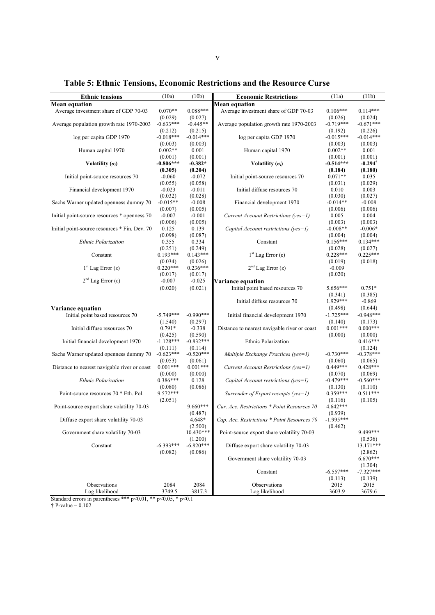**Table 5: Ethnic Tensions, Economic Restrictions and the Resource Curse** 

| <b>Ethnic tensions</b>                        | (10a)                 | (10b)            | <b>Economic Restrictions</b>                 | (11a)                  | (11b)                  |
|-----------------------------------------------|-----------------------|------------------|----------------------------------------------|------------------------|------------------------|
| <b>Mean equation</b>                          |                       |                  | <b>Mean equation</b>                         |                        |                        |
| Average investment share of GDP 70-03         | $0.070**$             | $0.088***$       | Average investment share of GDP 70-03        | $0.106***$             | $0.114***$             |
|                                               | (0.029)               | (0.027)          |                                              | (0.026)                | (0.024)                |
| Average population growth rate 1970-2003      | $-0.633***$           | $-0.445**$       | Average population growth rate 1970-2003     | $-0.719***$            | $-0.671***$            |
|                                               | (0.212)               | (0.215)          |                                              | (0.192)                | (0.226)                |
| log per capita GDP 1970                       | $-0.018***$           | $-0.014***$      | log per capita GDP 1970                      | $-0.015***$            | $-0.014***$            |
|                                               | (0.003)               | (0.003)          |                                              | (0.003)                | (0.003)                |
| Human capital 1970                            | $0.002**$             | 0.001            | Human capital 1970                           | $0.002**$              | 0.001                  |
|                                               | (0.001)               | (0.001)          |                                              | (0.001)                | (0.001)                |
| Volatility $(\sigma_i)$                       | $-0.806***$           | $-0.382*$        | Volatility $(\sigma_i)$                      | $-0.514***$            | $-0.294$ <sup>†</sup>  |
|                                               | (0.305)               | (0.204)          |                                              | (0.184)                | (0.180)                |
| Initial point-source resources 70             | $-0.060$              | $-0.072$         | Initial point-source resources 70            | $0.071**$              | 0.035                  |
|                                               | (0.055)               | (0.058)          |                                              | (0.031)                | (0.029)                |
| Financial development 1970                    | $-0.023$              | $-0.011$         | Initial diffuse resources 70                 | 0.010                  | 0.003                  |
|                                               | (0.032)               | (0.028)          |                                              | (0.030)                | (0.027)                |
| Sachs Warner updated openness dummy 70        | $-0.015**$            | $-0.008$         | Financial development 1970                   | $-0.014**$             | $-0.008$               |
|                                               | (0.007)               | (0.005)          |                                              | (0.006)                | (0.006)                |
| Initial point-source resources * openness 70  | $-0.007$              | $-0.001$         | Current Account Restrictions (yes=1)         | 0.005                  | 0.004                  |
| Initial point-source resources * Fin. Dev. 70 | (0.006)<br>0.125      | (0.005)          | Capital Account restrictions (yes=1)         | (0.003)<br>$-0.008**$  | (0.003)<br>$-0.006*$   |
|                                               | (0.098)               | 0.139<br>(0.087) |                                              |                        |                        |
| <b>Ethnic Polarization</b>                    | 0.355                 | 0.334            | Constant                                     | (0.004)<br>$0.156***$  | (0.004)<br>$0.134***$  |
|                                               | (0.251)               | (0.249)          |                                              | (0.028)                | (0.027)                |
| Constant                                      | $0.193***$            | $0.143***$       | $1st$ Lag Error $(\epsilon)$                 | $0.228***$             | $0.225***$             |
|                                               | (0.034)               | (0.026)          |                                              | (0.019)                | (0.018)                |
| $1st$ Lag Error (ε)                           | $0.220***$            | $0.236***$       | $2nd$ Lag Error $(\epsilon)$                 | $-0.009$               |                        |
|                                               | (0.017)               | (0.017)          |                                              | (0.020)                |                        |
| $2nd$ Lag Error $(\epsilon)$                  | $-0.007$              | $-0.025$         | Variance equation                            |                        |                        |
|                                               | (0.020)               | (0.021)          | Initial point based resources 70             | 5.656***               | $0.751*$               |
|                                               |                       |                  |                                              | (0.341)                | (0.385)                |
|                                               |                       |                  | Initial diffuse resources 70                 | 1.929***               | $-0.869$               |
| <b>Variance equation</b>                      |                       |                  |                                              | (0.498)                | (0.644)                |
| Initial point based resources 70              | $-5.749***$           | $-0.990***$      | Initial financial development 1970           | $-1.725***$            | $-0.948***$            |
|                                               | (1.540)               | (0.297)          |                                              | (0.140)                | (0.173)                |
| Initial diffuse resources 70                  | $0.791*$              | $-0.338$         | Distance to nearest navigable river or coast | $0.001***$             | $0.000***$             |
|                                               | (0.425)               | (0.590)          |                                              | (0.000)                | (0.000)                |
| Initial financial development 1970            | $-1.128***$           | $-0.832***$      | Ethnic Polarization                          |                        | $0.416***$             |
|                                               | (0.111)               | (0.114)          |                                              |                        | (0.124)                |
| Sachs Warner updated openness dummy 70        | $-0.623***$           | $-0.520***$      | Multiple Exchange Practices (yes=1)          | $-0.730***$            | $-0.378***$            |
|                                               | (0.053)               | (0.061)          |                                              | (0.060)                | (0.065)                |
| Distance to nearest navigable river or coast  | $0.001***$            | $0.001***$       | Current Account Restrictions (yes=1)         | $0.449***$             | $0.428***$             |
| <b>Ethnic Polarization</b>                    | (0.000)<br>$0.386***$ | (0.000)<br>0.128 | Capital Account restrictions (yes=1)         | (0.070)<br>$-0.479***$ | (0.069)<br>$-0.560***$ |
|                                               | (0.080)               | (0.086)          |                                              | (0.130)                | (0.110)                |
| Point-source resources 70 * Eth. Pol.         | 9.572***              |                  | Surrender of Export receipts (yes=1)         | $0.359***$             | $0.511***$             |
|                                               | (2.051)               |                  |                                              | (0.116)                | (0.105)                |
| Point-source export share volatility 70-03    |                       | $9.660***$       | Cur. Acc. Restrictions * Point Resources 70  | 4.642***               |                        |
|                                               |                       | (0.487)          |                                              | (0.939)                |                        |
| Diffuse export share volatility 70-03         |                       | 4.648*           | Cap. Acc. Restrictions * Point Resources 70  | $-1.995***$            |                        |
|                                               |                       | (2.500)          |                                              | (0.462)                |                        |
| Government share volatility 70-03             |                       | $10.430***$      | Point-source export share volatility 70-03   |                        | 9.499***               |
|                                               |                       | (1.200)          |                                              |                        | (0.536)                |
| Constant                                      | $-6.393***$           | $-6.820***$      | Diffuse export share volatility 70-03        |                        | 13.171***              |
|                                               | (0.082)               | (0.086)          |                                              |                        | (2.862)                |
|                                               |                       |                  | Government share volatility 70-03            |                        | $6.670***$             |
|                                               |                       |                  |                                              |                        | (1.304)                |
|                                               |                       |                  | Constant                                     | $-6.557***$            | $-7.327***$            |
|                                               |                       |                  |                                              | (0.113)                | (0.139)                |
| Observations                                  | 2084<br>3749.5        | 2084             | Observations                                 | 2015                   | 2015                   |
| Log likelihood                                |                       | 3817.3           | Log likelihood                               | 3603.9                 | 3679.6                 |

Standard errors in parentheses \*\*\* p<0.01, \*\* p<0.05, \* p<0.1

 $\dagger$  P-value = 0.102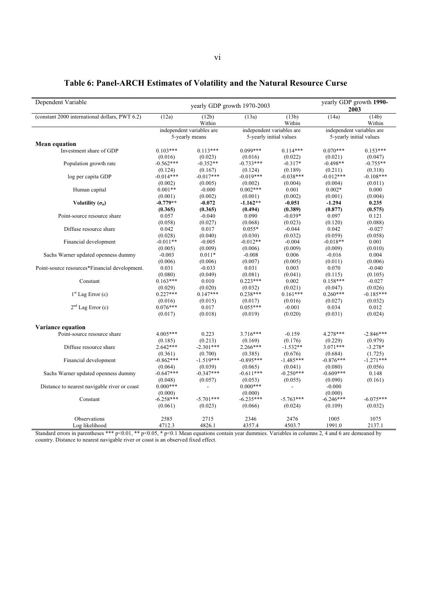## **Table 6: Panel-ARCH Estimates of Volatility and the Natural Resource Curse**

| Dependent Variable                             |                          | yearly GDP growth 1970-2003                 | yearly GDP growth 1990- | 2003                                                 |                                                      |                 |
|------------------------------------------------|--------------------------|---------------------------------------------|-------------------------|------------------------------------------------------|------------------------------------------------------|-----------------|
| (constant 2000 international dollars, PWT 6.2) | (12a)<br>(12b)<br>Within |                                             | (13a)                   | (13b)<br>Within                                      | (14a)                                                | (14b)<br>Within |
|                                                |                          | independent variables are<br>5-yearly means |                         | independent variables are<br>5-yearly initial values | independent variables are<br>5-yearly initial values |                 |
| <b>Mean equation</b>                           |                          |                                             |                         |                                                      |                                                      |                 |
| Investment share of GDP                        | $0.103***$               | $0.113***$                                  | $0.099***$              | $0.114***$                                           | $0.070***$                                           | $0.153***$      |
|                                                | (0.016)                  | (0.023)                                     | (0.016)                 | (0.022)                                              | (0.021)                                              | (0.047)         |
| Population growth rate                         | $-0.562***$              | $-0.352**$                                  | $-0.733***$             | $-0.317*$                                            | $-0.498**$                                           | $-0.755**$      |
|                                                | (0.124)                  | (0.167)                                     | (0.124)                 | (0.189)                                              | (0.211)                                              | (0.318)         |
| log per capita GDP                             | $-0.014***$              | $-0.017***$                                 | $-0.019***$             | $-0.038***$                                          | $-0.012***$                                          | $-0.108***$     |
|                                                | (0.002)                  | (0.005)                                     | (0.002)                 | (0.004)                                              | (0.004)                                              | (0.011)         |
| Human capital                                  | $0.001**$                | $-0.000$                                    | $0.002***$              | 0.001                                                | $0.002*$                                             | 0.000           |
|                                                | (0.001)                  | (0.002)                                     | (0.001)                 | (0.002)                                              | (0.001)                                              | (0.004)         |
| Volatility $(\sigma_{it})$                     | $-0.779**$               | $-0.072$                                    | $-1.162**$              | $-0.051$                                             | $-1.294$                                             | 0.235           |
|                                                | (0.365)                  | (0.365)                                     | (0.494)                 | (0.389)                                              | (0.877)                                              | (0.575)         |
| Point-source resource share                    | 0.057                    | $-0.040$                                    | 0.090                   | $-0.039*$                                            | 0.097                                                | 0.121           |
|                                                | (0.058)                  | (0.027)                                     | (0.068)                 | (0.023)                                              | (0.120)                                              | (0.088)         |
| Diffuse resource share                         | 0.042                    | 0.017                                       | $0.055*$                | $-0.044$                                             | 0.042                                                | $-0.027$        |
|                                                | (0.028)                  | (0.040)                                     | (0.030)                 | (0.032)                                              | (0.059)                                              | (0.058)         |
| Financial development                          | $-0.011**$               | $-0.005$                                    | $-0.012**$              | $-0.004$                                             | $-0.018**$                                           | 0.001           |
|                                                | (0.005)                  | (0.009)                                     | (0.006)                 | (0.009)                                              | (0.009)                                              | (0.010)         |
| Sachs Warner updated openness dummy            | $-0.003$                 | $0.011*$                                    | $-0.008$                | 0.006                                                | $-0.016$                                             | 0.004           |
|                                                | (0.006)                  | (0.006)                                     | (0.007)                 | (0.005)                                              | (0.011)                                              | (0.006)         |
| Point-source resources*Financial development.  | 0.031                    | $-0.033$                                    | 0.031                   | 0.003                                                | 0.070                                                | $-0.040$        |
|                                                | (0.080)                  | (0.049)                                     | (0.081)                 | (0.041)                                              | (0.115)                                              | (0.105)         |
| Constant                                       | $0.163***$               | 0.010                                       | $0.223***$              | 0.002                                                | $0.158***$                                           | $-0.027$        |
|                                                | (0.029)                  | (0.020)                                     | (0.032)                 | (0.021)                                              | (0.047)                                              | (0.026)         |
| $1st$ Lag Error $(\epsilon)$                   | $0.227***$               | $0.147***$                                  | $0.238***$              | $0.161***$                                           | $0.260***$                                           | $-0.185***$     |
|                                                | (0.016)                  | (0.015)                                     | (0.017)                 | (0.016)                                              | (0.027)                                              | (0.032)         |
| $2nd$ Lag Error $(\varepsilon)$                | $0.076***$               | 0.017                                       | $0.055***$              | $-0.001$                                             | 0.034                                                | 0.012           |
|                                                | (0.017)                  | (0.018)                                     | (0.019)                 | (0.020)                                              | (0.031)                                              | (0.024)         |
| Variance equation                              |                          |                                             |                         |                                                      |                                                      |                 |
| Point-source resource share                    | $4.005***$               | 0.223                                       | $3.716***$              | $-0.159$                                             | 4.278***                                             | $-2.846***$     |
|                                                | (0.185)                  | (0.213)                                     | (0.169)                 | (0.176)                                              | (0.229)                                              | (0.979)         |
| Diffuse resource share                         | $2.642***$               | $-2.301***$                                 | $2.266***$              | $-1.532**$                                           | $3.071***$                                           | $-3.278*$       |
|                                                | (0.361)                  | (0.700)                                     | (0.385)                 | (0.676)                                              | (0.684)                                              | (1.725)         |
| Financial development                          | $-0.862***$              | $-1.519***$                                 | $-0.895***$             | $-1.485***$                                          | $-0.876***$                                          | $-1.271***$     |
|                                                | (0.064)                  | (0.039)                                     | (0.065)                 | (0.041)                                              | (0.080)                                              | (0.056)         |
| Sachs Warner updated openness dummy            | $-0.647***$              | $-0.347***$                                 | $-0.611***$             | $-0.250***$                                          | $-0.609***$                                          | 0.148           |
|                                                | (0.048)                  | (0.057)                                     | (0.053)                 | (0.055)                                              | (0.090)                                              | (0.161)         |
| Distance to nearest navigable river or coast   | $0.000***$               | $\overline{a}$                              | $0.000***$              | $\overline{\phantom{a}}$                             | $-0.000$                                             |                 |
|                                                | (0.000)                  |                                             | (0.000)                 |                                                      | (0.000)                                              |                 |
| Constant                                       | $-6.258***$              | $-5.701***$                                 | $-6.235***$             | $-5.763***$                                          | $-6.246***$                                          | $-6.075***$     |
|                                                | (0.061)                  | (0.023)                                     | (0.066)                 | (0.024)                                              | (0.109)                                              | (0.032)         |
| Observations                                   | 2585                     | 2715                                        | 2346                    | 2476                                                 | 1005                                                 | 1075            |
| Log likelihood                                 | 4712.3                   | 4826.1                                      | 4357.4                  | 4503.7                                               | 1991.0                                               | 2137.1          |
| $\alpha$ $\alpha$ $\alpha$ $\beta$ $\beta$     |                          |                                             |                         |                                                      |                                                      |                 |

Standard errors in parentheses \*\*\* p<0.01, \*\* p<0.05, \* p<0.1 Mean equations contain year dummies. Variables in columns 2, 4 and 6 are demeaned by country. Distance to nearest navigable river or coast is an observed fixed effect.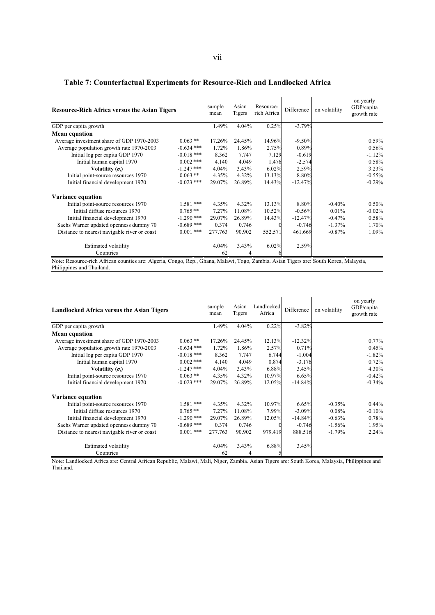| <b>Resource-Rich Africa versus the Asian Tigers</b> |              | sample<br>mean | Asian<br>Tigers | Resource-<br>rich Africa | Difference | on volatility | on yearly<br>GDP/capita<br>growth rate |
|-----------------------------------------------------|--------------|----------------|-----------------|--------------------------|------------|---------------|----------------------------------------|
| GDP per capita growth                               |              | 1.49%          | 4.04%           | 0.25%                    | $-3.79%$   |               |                                        |
| <b>Mean equation</b>                                |              |                |                 |                          |            |               |                                        |
| Average investment share of GDP 1970-2003           | $0.063**$    | 17.26%         | 24.45%          | 14.96%                   | $-9.50%$   |               | 0.59%                                  |
| Average population growth rate 1970-2003            | $-0.634$ *** | 1.72%          | 1.86%           | 2.75%                    | 0.89%      |               | 0.56%                                  |
| Initial log per capita GDP 1970                     | $-0.018$ *** | 8.362          | 7.747           | 7.129                    | $-0.619$   |               | $-1.12%$                               |
| Initial human capital 1970                          | $0.002$ ***  | 4.140          | 4.049           | 1.476                    | $-2.574$   |               | 0.58%                                  |
| Volatility $(\sigma_i)$                             | $-1.247***$  | 4.04%          | $3.43\%$        | 6.02%                    | 2.59%      |               | 3.23%                                  |
| Initial point-source resources 1970                 | $0.063**$    | 4.35%          | 4.32%           | 13.13%                   | 8.80%      |               | $-0.55%$                               |
| Initial financial development 1970                  | $-0.023$ *** | 29.07%         | 26.89%          | 14.43%                   | $-12.47%$  |               | $-0.29%$                               |
| Variance equation                                   |              |                |                 |                          |            |               |                                        |
| Initial point-source resources 1970                 | $1.581***$   | 4.35%          | $4.32\%$        | 13.13%                   | 8.80%      | $-0.40%$      | 0.50%                                  |
| Initial diffuse resources 1970                      | $0.765**$    | 7.27%          | 11.08%          | 10.52%                   | $-0.56%$   | 0.01%         | $-0.02%$                               |
| Initial financial development 1970                  | $-1.290$ *** | 29.07%         | 26.89%          | 14.43%                   | $-12.47%$  | $-0.47%$      | 0.58%                                  |
| Sachs Warner updated openness dummy 70              | $-0.689$ *** | 0.374          | 0.746           |                          | $-0.746$   | $-1.37\%$     | 1.70%                                  |
| Distance to nearest navigable river or coast        | $0.001$ ***  | 277.763        | 90.902          | 552.571                  | 461.669    | $-0.87%$      | 1.09%                                  |
| <b>Estimated volatility</b>                         |              | 4.04%          | 3.43%           | 6.02%                    | 2.59%      |               |                                        |
| Countries                                           |              | 62             |                 |                          |            |               |                                        |

### **Table 7: Counterfactual Experiments for Resource-Rich and Landlocked Africa**

Note: Resource-rich African counties are: Algeria, Congo, Rep., Ghana, Malawi, Togo, Zambia. Asian Tigers are: South Korea, Malaysia, Philippines and Thailand.

| Landlocked Africa versus the Asian Tigers    |              | sample<br>mean | Asian<br>Tigers | Landlocked<br>Africa | Difference | on volatility | on yearly<br>GDP/capita<br>growth rate |
|----------------------------------------------|--------------|----------------|-----------------|----------------------|------------|---------------|----------------------------------------|
| GDP per capita growth                        |              | 1.49%          | 4.04%           | 0.22%                | $-3.82%$   |               |                                        |
| <b>Mean equation</b>                         |              |                |                 |                      |            |               |                                        |
| Average investment share of GDP 1970-2003    | $0.063**$    | 17.26%         | 24.45%          | 12.13%               | $-12.32%$  |               | 0.77%                                  |
| Average population growth rate 1970-2003     | $-0.634$ *** | 1.72%          | 1.86%           | 2.57%                | 0.71%      |               | 0.45%                                  |
| Initial log per capita GDP 1970              | $-0.018$ *** | 8.362          | 7.747           | 6.744                | $-1.004$   |               | $-1.82%$                               |
| Initial human capital 1970                   | $0.002$ ***  | 4.140          | 4.049           | 0.874                | $-3.176$   |               | 0.72%                                  |
| Volatility $(\sigma_i)$                      | $-1.247$ *** | 4.04%          | $3.43\%$        | 6.88%                | 3.45%      |               | 4.30%                                  |
| Initial point-source resources 1970          | $0.063**$    | 4.35%          | $4.32\%$        | 10.97%               | 6.65%      |               | $-0.42%$                               |
| Initial financial development 1970           | $-0.023$ *** | 29.07%         | 26.89%          | 12.05%               | $-14.84%$  |               | $-0.34%$                               |
| <b>Variance equation</b>                     |              |                |                 |                      |            |               |                                        |
| Initial point-source resources 1970          | $1.581***$   | 4.35%          | $4.32\%$        | 10.97%               | 6.65%      | $-0.35%$      | 0.44%                                  |
| Initial diffuse resources 1970               | $0.765**$    | 7.27%          | 11.08%          | 7.99%                | $-3.09%$   | $0.08\%$      | $-0.10%$                               |
| Initial financial development 1970           | $-1.290$ *** | 29.07%         | 26.89%          | 12.05%               | $-14.84%$  | $-0.63\%$     | 0.78%                                  |
| Sachs Warner updated openness dummy 70       | $-0.689$ *** | 0.374          | 0.746           |                      | $-0.746$   | $-1.56%$      | 1.95%                                  |
| Distance to nearest navigable river or coast | $0.001$ ***  | 277.763        | 90.902          | 979.419              | 888.516    | $-1.79%$      | 2.24%                                  |
| <b>Estimated volatility</b>                  |              | 4.04%          | $3.43\%$        | 6.88%                | 3.45%      |               |                                        |
| Countries                                    |              | 62             | 4               |                      |            |               |                                        |

Note: Landlocked Africa are: Central African Republic, Malawi, Mali, Niger, Zambia. Asian Tigers are: South Korea, Malaysia, Philippines and Thailand.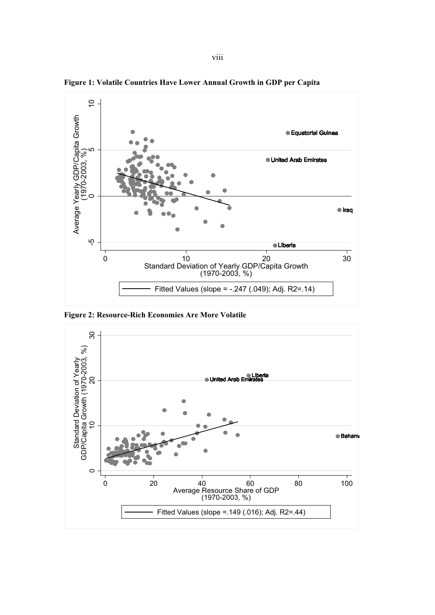

**Figure 1: Volatile Countries Have Lower Annual Growth in GDP per Capita** 

**Figure 2: Resource-Rich Economies Are More Volatile** 

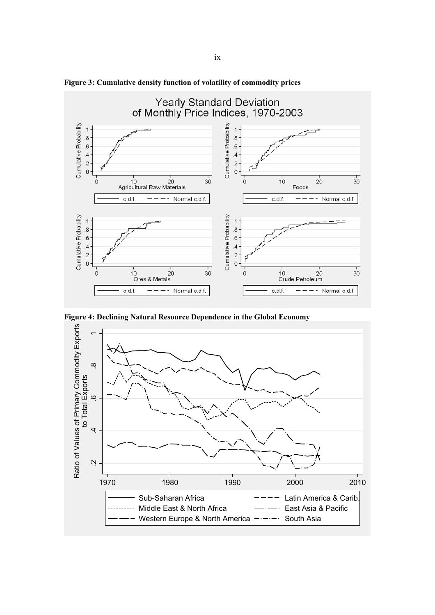

**Figure 3: Cumulative density function of volatility of commodity prices** 

**Figure 4: Declining Natural Resource Dependence in the Global Economy**